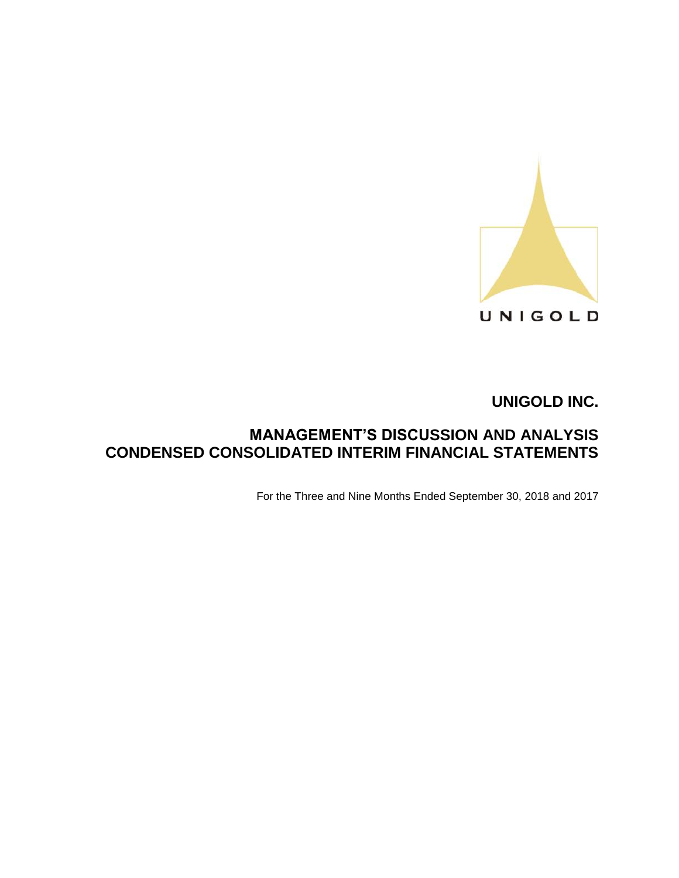

# **MANAGEMENT'S DISCUSSION AND ANALYSIS CONDENSED CONSOLIDATED INTERIM FINANCIAL STATEMENTS**

For the Three and Nine Months Ended September 30, 2018 and 2017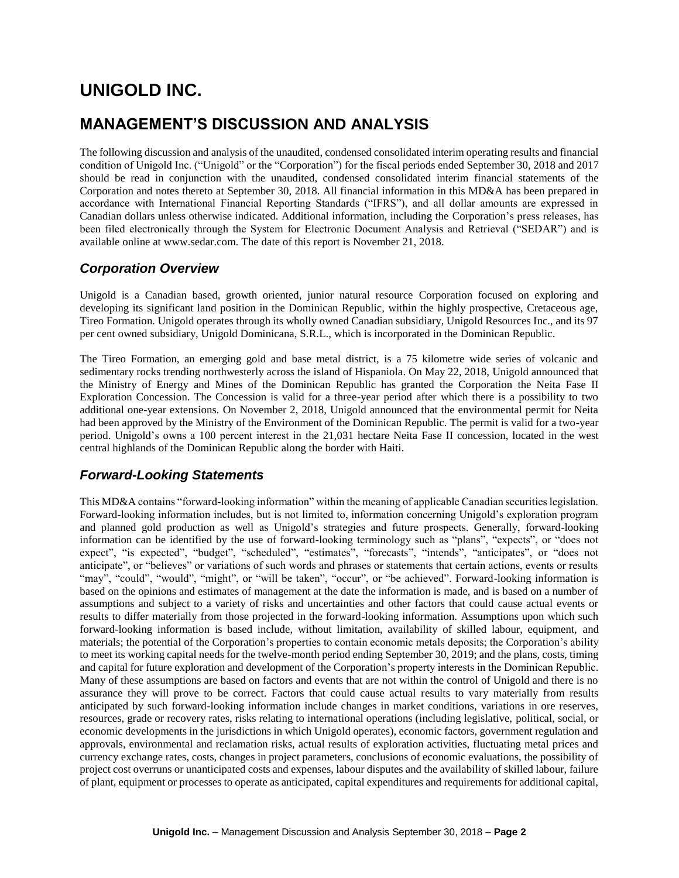# **MANAGEMENT'S DISCUSSION AND ANALYSIS**

The following discussion and analysis of the unaudited, condensed consolidated interim operating results and financial condition of Unigold Inc. ("Unigold" or the "Corporation") for the fiscal periods ended September 30, 2018 and 2017 should be read in conjunction with the unaudited, condensed consolidated interim financial statements of the Corporation and notes thereto at September 30, 2018. All financial information in this MD&A has been prepared in accordance with International Financial Reporting Standards ("IFRS"), and all dollar amounts are expressed in Canadian dollars unless otherwise indicated. Additional information, including the Corporation's press releases, has been filed electronically through the System for Electronic Document Analysis and Retrieval ("SEDAR") and is available online at www.sedar.com. The date of this report is November 21, 2018.

## *Corporation Overview*

Unigold is a Canadian based, growth oriented, junior natural resource Corporation focused on exploring and developing its significant land position in the Dominican Republic, within the highly prospective, Cretaceous age, Tireo Formation. Unigold operates through its wholly owned Canadian subsidiary, Unigold Resources Inc., and its 97 per cent owned subsidiary, Unigold Dominicana, S.R.L., which is incorporated in the Dominican Republic.

The Tireo Formation, an emerging gold and base metal district, is a 75 kilometre wide series of volcanic and sedimentary rocks trending northwesterly across the island of Hispaniola. On May 22, 2018, Unigold announced that the Ministry of Energy and Mines of the Dominican Republic has granted the Corporation the Neita Fase II Exploration Concession. The Concession is valid for a three-year period after which there is a possibility to two additional one-year extensions. On November 2, 2018, Unigold announced that the environmental permit for Neita had been approved by the Ministry of the Environment of the Dominican Republic. The permit is valid for a two-year period. Unigold's owns a 100 percent interest in the 21,031 hectare Neita Fase II concession, located in the west central highlands of the Dominican Republic along the border with Haiti.

## *Forward-Looking Statements*

This MD&A contains "forward-looking information" within the meaning of applicable Canadian securities legislation. Forward-looking information includes, but is not limited to, information concerning Unigold's exploration program and planned gold production as well as Unigold's strategies and future prospects. Generally, forward-looking information can be identified by the use of forward-looking terminology such as "plans", "expects", or "does not expect", "is expected", "budget", "scheduled", "estimates", "forecasts", "intends", "anticipates", or "does not anticipate", or "believes" or variations of such words and phrases or statements that certain actions, events or results "may", "could", "would", "might", or "will be taken", "occur", or "be achieved". Forward-looking information is based on the opinions and estimates of management at the date the information is made, and is based on a number of assumptions and subject to a variety of risks and uncertainties and other factors that could cause actual events or results to differ materially from those projected in the forward-looking information. Assumptions upon which such forward-looking information is based include, without limitation, availability of skilled labour, equipment, and materials; the potential of the Corporation's properties to contain economic metals deposits; the Corporation's ability to meet its working capital needs for the twelve-month period ending September 30, 2019; and the plans, costs, timing and capital for future exploration and development of the Corporation's property interests in the Dominican Republic. Many of these assumptions are based on factors and events that are not within the control of Unigold and there is no assurance they will prove to be correct. Factors that could cause actual results to vary materially from results anticipated by such forward-looking information include changes in market conditions, variations in ore reserves, resources, grade or recovery rates, risks relating to international operations (including legislative, political, social, or economic developments in the jurisdictions in which Unigold operates), economic factors, government regulation and approvals, environmental and reclamation risks, actual results of exploration activities, fluctuating metal prices and currency exchange rates, costs, changes in project parameters, conclusions of economic evaluations, the possibility of project cost overruns or unanticipated costs and expenses, labour disputes and the availability of skilled labour, failure of plant, equipment or processes to operate as anticipated, capital expenditures and requirements for additional capital,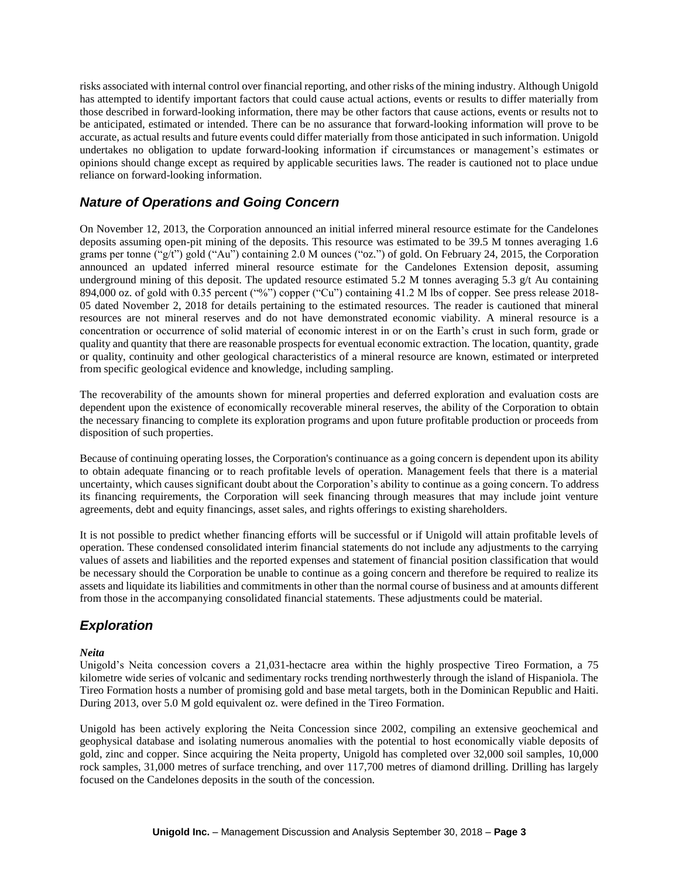risks associated with internal control over financial reporting, and other risks of the mining industry. Although Unigold has attempted to identify important factors that could cause actual actions, events or results to differ materially from those described in forward-looking information, there may be other factors that cause actions, events or results not to be anticipated, estimated or intended. There can be no assurance that forward-looking information will prove to be accurate, as actual results and future events could differ materially from those anticipated in such information. Unigold undertakes no obligation to update forward-looking information if circumstances or management's estimates or opinions should change except as required by applicable securities laws. The reader is cautioned not to place undue reliance on forward-looking information.

## *Nature of Operations and Going Concern*

On November 12, 2013, the Corporation announced an initial inferred mineral resource estimate for the Candelones deposits assuming open-pit mining of the deposits. This resource was estimated to be 39.5 M tonnes averaging 1.6 grams per tonne ("g/t") gold ("Au") containing 2.0 M ounces ("oz.") of gold. On February 24, 2015, the Corporation announced an updated inferred mineral resource estimate for the Candelones Extension deposit, assuming underground mining of this deposit. The updated resource estimated 5.2 M tonnes averaging 5.3  $g/t$  Au containing 894,000 oz. of gold with 0.35 percent ("%") copper ("Cu") containing 41.2 M lbs of copper. See press release 2018-05 dated November 2, 2018 for details pertaining to the estimated resources. The reader is cautioned that mineral resources are not mineral reserves and do not have demonstrated economic viability. A mineral resource is a concentration or occurrence of solid material of economic interest in or on the Earth's crust in such form, grade or quality and quantity that there are reasonable prospects for eventual economic extraction. The location, quantity, grade or quality, continuity and other geological characteristics of a mineral resource are known, estimated or interpreted from specific geological evidence and knowledge, including sampling.

The recoverability of the amounts shown for mineral properties and deferred exploration and evaluation costs are dependent upon the existence of economically recoverable mineral reserves, the ability of the Corporation to obtain the necessary financing to complete its exploration programs and upon future profitable production or proceeds from disposition of such properties.

Because of continuing operating losses, the Corporation's continuance as a going concern is dependent upon its ability to obtain adequate financing or to reach profitable levels of operation. Management feels that there is a material uncertainty, which causes significant doubt about the Corporation's ability to continue as a going concern. To address its financing requirements, the Corporation will seek financing through measures that may include joint venture agreements, debt and equity financings, asset sales, and rights offerings to existing shareholders.

It is not possible to predict whether financing efforts will be successful or if Unigold will attain profitable levels of operation. These condensed consolidated interim financial statements do not include any adjustments to the carrying values of assets and liabilities and the reported expenses and statement of financial position classification that would be necessary should the Corporation be unable to continue as a going concern and therefore be required to realize its assets and liquidate its liabilities and commitments in other than the normal course of business and at amounts different from those in the accompanying consolidated financial statements. These adjustments could be material.

## *Exploration*

#### *Neita*

Unigold's Neita concession covers a 21,031-hectacre area within the highly prospective Tireo Formation, a 75 kilometre wide series of volcanic and sedimentary rocks trending northwesterly through the island of Hispaniola. The Tireo Formation hosts a number of promising gold and base metal targets, both in the Dominican Republic and Haiti. During 2013, over 5.0 M gold equivalent oz. were defined in the Tireo Formation.

Unigold has been actively exploring the Neita Concession since 2002, compiling an extensive geochemical and geophysical database and isolating numerous anomalies with the potential to host economically viable deposits of gold, zinc and copper. Since acquiring the Neita property, Unigold has completed over 32,000 soil samples, 10,000 rock samples, 31,000 metres of surface trenching, and over 117,700 metres of diamond drilling. Drilling has largely focused on the Candelones deposits in the south of the concession.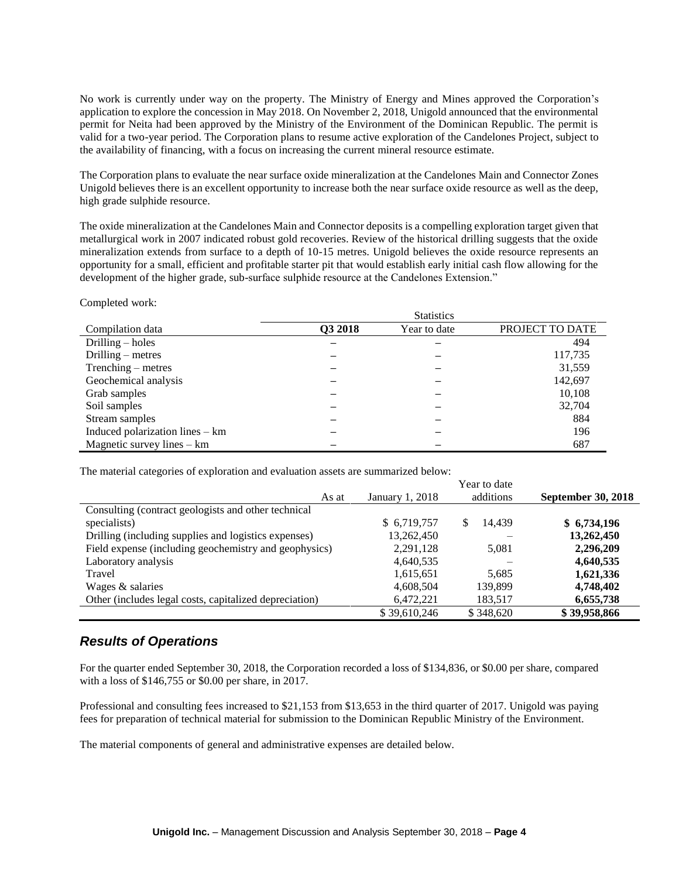No work is currently under way on the property. The Ministry of Energy and Mines approved the Corporation's application to explore the concession in May 2018. On November 2, 2018, Unigold announced that the environmental permit for Neita had been approved by the Ministry of the Environment of the Dominican Republic. The permit is valid for a two-year period. The Corporation plans to resume active exploration of the Candelones Project, subject to the availability of financing, with a focus on increasing the current mineral resource estimate.

The Corporation plans to evaluate the near surface oxide mineralization at the Candelones Main and Connector Zones Unigold believes there is an excellent opportunity to increase both the near surface oxide resource as well as the deep, high grade sulphide resource.

The oxide mineralization at the Candelones Main and Connector deposits is a compelling exploration target given that metallurgical work in 2007 indicated robust gold recoveries. Review of the historical drilling suggests that the oxide mineralization extends from surface to a depth of 10-15 metres. Unigold believes the oxide resource represents an opportunity for a small, efficient and profitable starter pit that would establish early initial cash flow allowing for the development of the higher grade, sub-surface sulphide resource at the Candelones Extension."

#### Completed work:

|                                 | <b>Statistics</b> |              |                 |  |  |  |
|---------------------------------|-------------------|--------------|-----------------|--|--|--|
| Compilation data                | Q3 2018           | Year to date | PROJECT TO DATE |  |  |  |
| Drilling $-$ holes              |                   |              | 494             |  |  |  |
| Drilling $-$ metres             |                   |              | 117,735         |  |  |  |
| Trenching – metres              |                   |              | 31,559          |  |  |  |
| Geochemical analysis            |                   |              | 142,697         |  |  |  |
| Grab samples                    |                   |              | 10,108          |  |  |  |
| Soil samples                    |                   |              | 32,704          |  |  |  |
| Stream samples                  |                   |              | 884             |  |  |  |
| Induced polarization lines – km |                   |              | 196             |  |  |  |
| Magnetic survey lines $-$ km    |                   |              | 687             |  |  |  |

The material categories of exploration and evaluation assets are summarized below:

|                                                        |                 | Year to date |                           |
|--------------------------------------------------------|-----------------|--------------|---------------------------|
| As at                                                  | January 1, 2018 | additions    | <b>September 30, 2018</b> |
| Consulting (contract geologists and other technical    |                 |              |                           |
| specialists)                                           | \$ 6,719,757    | 14.439<br>S  | \$6,734,196               |
| Drilling (including supplies and logistics expenses)   | 13,262,450      |              | 13,262,450                |
| Field expense (including geochemistry and geophysics)  | 2,291,128       | 5,081        | 2,296,209                 |
| Laboratory analysis                                    | 4,640,535       |              | 4,640,535                 |
| Travel                                                 | 1,615,651       | 5,685        | 1,621,336                 |
| Wages & salaries                                       | 4,608,504       | 139.899      | 4,748,402                 |
| Other (includes legal costs, capitalized depreciation) | 6,472,221       | 183,517      | 6,655,738                 |
|                                                        | \$39,610,246    | \$348,620    | \$39,958,866              |

### *Results of Operations*

For the quarter ended September 30, 2018, the Corporation recorded a loss of \$134,836, or \$0.00 per share, compared with a loss of \$146,755 or \$0.00 per share, in 2017.

Professional and consulting fees increased to \$21,153 from \$13,653 in the third quarter of 2017. Unigold was paying fees for preparation of technical material for submission to the Dominican Republic Ministry of the Environment.

The material components of general and administrative expenses are detailed below.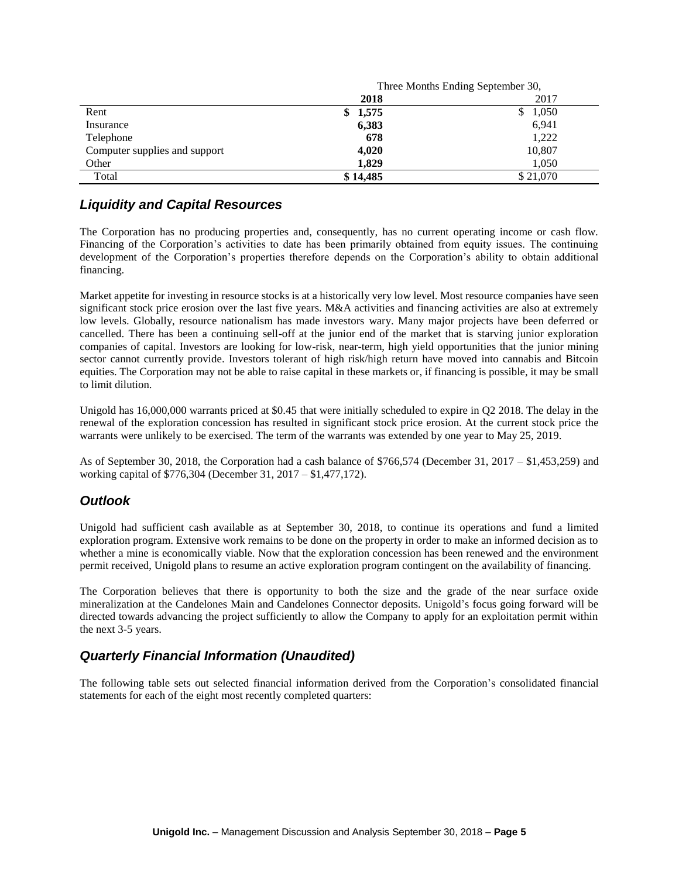|                               | Three Months Ending September 30, |             |  |  |
|-------------------------------|-----------------------------------|-------------|--|--|
|                               | 2018                              | 2017        |  |  |
| Rent                          | 1,575<br>\$                       | 1,050<br>\$ |  |  |
| Insurance                     | 6,383                             | 6,941       |  |  |
| Telephone                     | 678                               | 1,222       |  |  |
| Computer supplies and support | 4,020                             | 10,807      |  |  |
| Other                         | 1.829                             | 1,050       |  |  |
| Total                         | \$14,485                          | \$21,070    |  |  |

## *Liquidity and Capital Resources*

The Corporation has no producing properties and, consequently, has no current operating income or cash flow. Financing of the Corporation's activities to date has been primarily obtained from equity issues. The continuing development of the Corporation's properties therefore depends on the Corporation's ability to obtain additional financing.

Market appetite for investing in resource stocks is at a historically very low level. Most resource companies have seen significant stock price erosion over the last five years. M&A activities and financing activities are also at extremely low levels. Globally, resource nationalism has made investors wary. Many major projects have been deferred or cancelled. There has been a continuing sell-off at the junior end of the market that is starving junior exploration companies of capital. Investors are looking for low-risk, near-term, high yield opportunities that the junior mining sector cannot currently provide. Investors tolerant of high risk/high return have moved into cannabis and Bitcoin equities. The Corporation may not be able to raise capital in these markets or, if financing is possible, it may be small to limit dilution.

Unigold has 16,000,000 warrants priced at \$0.45 that were initially scheduled to expire in Q2 2018. The delay in the renewal of the exploration concession has resulted in significant stock price erosion. At the current stock price the warrants were unlikely to be exercised. The term of the warrants was extended by one year to May 25, 2019.

As of September 30, 2018, the Corporation had a cash balance of \$766,574 (December 31, 2017 – \$1,453,259) and working capital of \$776,304 (December 31, 2017 – \$1,477,172).

### *Outlook*

Unigold had sufficient cash available as at September 30, 2018, to continue its operations and fund a limited exploration program. Extensive work remains to be done on the property in order to make an informed decision as to whether a mine is economically viable. Now that the exploration concession has been renewed and the environment permit received, Unigold plans to resume an active exploration program contingent on the availability of financing.

The Corporation believes that there is opportunity to both the size and the grade of the near surface oxide mineralization at the Candelones Main and Candelones Connector deposits. Unigold's focus going forward will be directed towards advancing the project sufficiently to allow the Company to apply for an exploitation permit within the next 3-5 years.

### *Quarterly Financial Information (Unaudited)*

The following table sets out selected financial information derived from the Corporation's consolidated financial statements for each of the eight most recently completed quarters: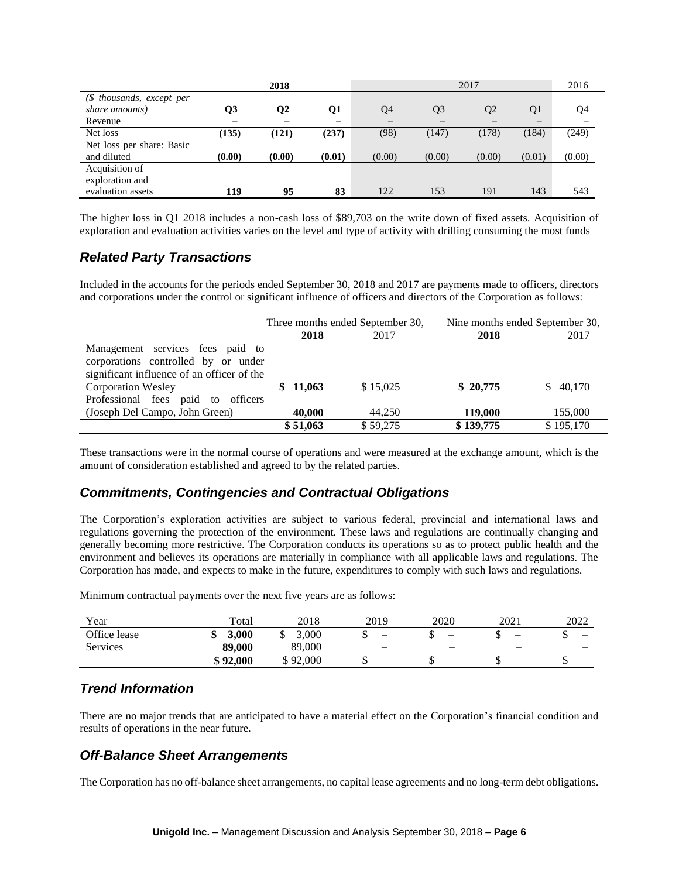|                           |        | 2018   |           | 2017                     |        |                |                          | 2016   |
|---------------------------|--------|--------|-----------|--------------------------|--------|----------------|--------------------------|--------|
| (\$ thousands, except per |        |        |           |                          |        |                |                          |        |
| share amounts)            | O3     | Ο2     | <b>Q1</b> | O <sub>4</sub>           | O3     | O <sub>2</sub> | O1                       | Q4     |
| Revenue                   |        |        |           | $\overline{\phantom{m}}$ |        |                | $\overline{\phantom{m}}$ |        |
| Net loss                  | (135)  | (121)  | (237)     | (98)                     | (147)  | (178)          | (184)                    | (249)  |
| Net loss per share: Basic |        |        |           |                          |        |                |                          |        |
| and diluted               | (0.00) | (0.00) | (0.01)    | (0.00)                   | (0.00) | (0.00)         | (0.01)                   | (0.00) |
| Acquisition of            |        |        |           |                          |        |                |                          |        |
| exploration and           |        |        |           |                          |        |                |                          |        |
| evaluation assets         | 119    | 95     | 83        | 122                      | 153    | 191            | 143                      | 543    |

The higher loss in Q1 2018 includes a non-cash loss of \$89,703 on the write down of fixed assets. Acquisition of exploration and evaluation activities varies on the level and type of activity with drilling consuming the most funds

### *Related Party Transactions*

Included in the accounts for the periods ended September 30, 2018 and 2017 are payments made to officers, directors and corporations under the control or significant influence of officers and directors of the Corporation as follows:

|                                            | Three months ended September 30, |          | Nine months ended September 30, |           |  |
|--------------------------------------------|----------------------------------|----------|---------------------------------|-----------|--|
|                                            | 2018                             | 2017     | 2018                            | 2017      |  |
| Management services fees paid to           |                                  |          |                                 |           |  |
| corporations controlled by or under        |                                  |          |                                 |           |  |
| significant influence of an officer of the |                                  |          |                                 |           |  |
| <b>Corporation Wesley</b>                  | \$11,063                         | \$15.025 | \$20,775                        | \$40,170  |  |
| Professional fees paid to<br>officers      |                                  |          |                                 |           |  |
| (Joseph Del Campo, John Green)             | 40,000                           | 44.250   | 119,000                         | 155,000   |  |
|                                            | \$51,063                         | \$59,275 | \$139,775                       | \$195,170 |  |

These transactions were in the normal course of operations and were measured at the exchange amount, which is the amount of consideration established and agreed to by the related parties.

## *Commitments, Contingencies and Contractual Obligations*

The Corporation's exploration activities are subject to various federal, provincial and international laws and regulations governing the protection of the environment. These laws and regulations are continually changing and generally becoming more restrictive. The Corporation conducts its operations so as to protect public health and the environment and believes its operations are materially in compliance with all applicable laws and regulations. The Corporation has made, and expects to make in the future, expenditures to comply with such laws and regulations.

Minimum contractual payments over the next five years are as follows:

| Year         | Total    | 2018           | 2019 | 2020                     | 2021 | 2022 |
|--------------|----------|----------------|------|--------------------------|------|------|
| Office lease | 3.000    | .000.          | –    | $\overline{\phantom{a}}$ | –    | –    |
| Services     | 89,000   | 89,000         |      | –                        |      |      |
|              | \$92,000 | 92,000<br>ፍ ዐን | –    | –                        | -    | –    |

## *Trend Information*

There are no major trends that are anticipated to have a material effect on the Corporation's financial condition and results of operations in the near future.

## *Off-Balance Sheet Arrangements*

The Corporation has no off-balance sheet arrangements, no capital lease agreements and no long-term debt obligations.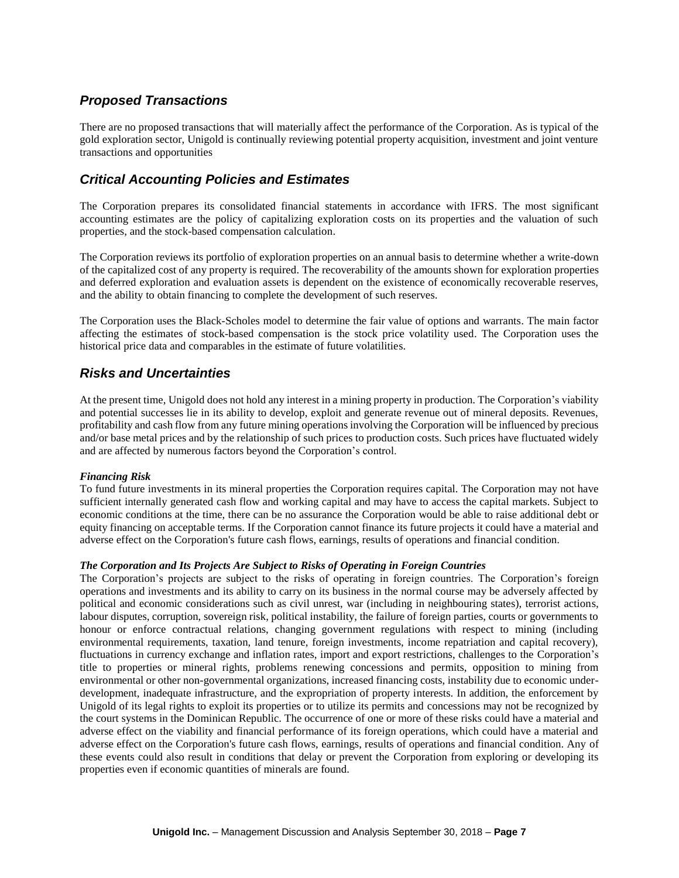## *Proposed Transactions*

There are no proposed transactions that will materially affect the performance of the Corporation. As is typical of the gold exploration sector, Unigold is continually reviewing potential property acquisition, investment and joint venture transactions and opportunities

## *Critical Accounting Policies and Estimates*

The Corporation prepares its consolidated financial statements in accordance with IFRS. The most significant accounting estimates are the policy of capitalizing exploration costs on its properties and the valuation of such properties, and the stock-based compensation calculation.

The Corporation reviews its portfolio of exploration properties on an annual basis to determine whether a write-down of the capitalized cost of any property is required. The recoverability of the amounts shown for exploration properties and deferred exploration and evaluation assets is dependent on the existence of economically recoverable reserves, and the ability to obtain financing to complete the development of such reserves.

The Corporation uses the Black-Scholes model to determine the fair value of options and warrants. The main factor affecting the estimates of stock-based compensation is the stock price volatility used. The Corporation uses the historical price data and comparables in the estimate of future volatilities.

## *Risks and Uncertainties*

At the present time, Unigold does not hold any interest in a mining property in production. The Corporation's viability and potential successes lie in its ability to develop, exploit and generate revenue out of mineral deposits. Revenues, profitability and cash flow from any future mining operations involving the Corporation will be influenced by precious and/or base metal prices and by the relationship of such prices to production costs. Such prices have fluctuated widely and are affected by numerous factors beyond the Corporation's control.

#### *Financing Risk*

To fund future investments in its mineral properties the Corporation requires capital. The Corporation may not have sufficient internally generated cash flow and working capital and may have to access the capital markets. Subject to economic conditions at the time, there can be no assurance the Corporation would be able to raise additional debt or equity financing on acceptable terms. If the Corporation cannot finance its future projects it could have a material and adverse effect on the Corporation's future cash flows, earnings, results of operations and financial condition.

#### *The Corporation and Its Projects Are Subject to Risks of Operating in Foreign Countries*

The Corporation's projects are subject to the risks of operating in foreign countries. The Corporation's foreign operations and investments and its ability to carry on its business in the normal course may be adversely affected by political and economic considerations such as civil unrest, war (including in neighbouring states), terrorist actions, labour disputes, corruption, sovereign risk, political instability, the failure of foreign parties, courts or governments to honour or enforce contractual relations, changing government regulations with respect to mining (including environmental requirements, taxation, land tenure, foreign investments, income repatriation and capital recovery), fluctuations in currency exchange and inflation rates, import and export restrictions, challenges to the Corporation's title to properties or mineral rights, problems renewing concessions and permits, opposition to mining from environmental or other non-governmental organizations, increased financing costs, instability due to economic underdevelopment, inadequate infrastructure, and the expropriation of property interests. In addition, the enforcement by Unigold of its legal rights to exploit its properties or to utilize its permits and concessions may not be recognized by the court systems in the Dominican Republic. The occurrence of one or more of these risks could have a material and adverse effect on the viability and financial performance of its foreign operations, which could have a material and adverse effect on the Corporation's future cash flows, earnings, results of operations and financial condition. Any of these events could also result in conditions that delay or prevent the Corporation from exploring or developing its properties even if economic quantities of minerals are found.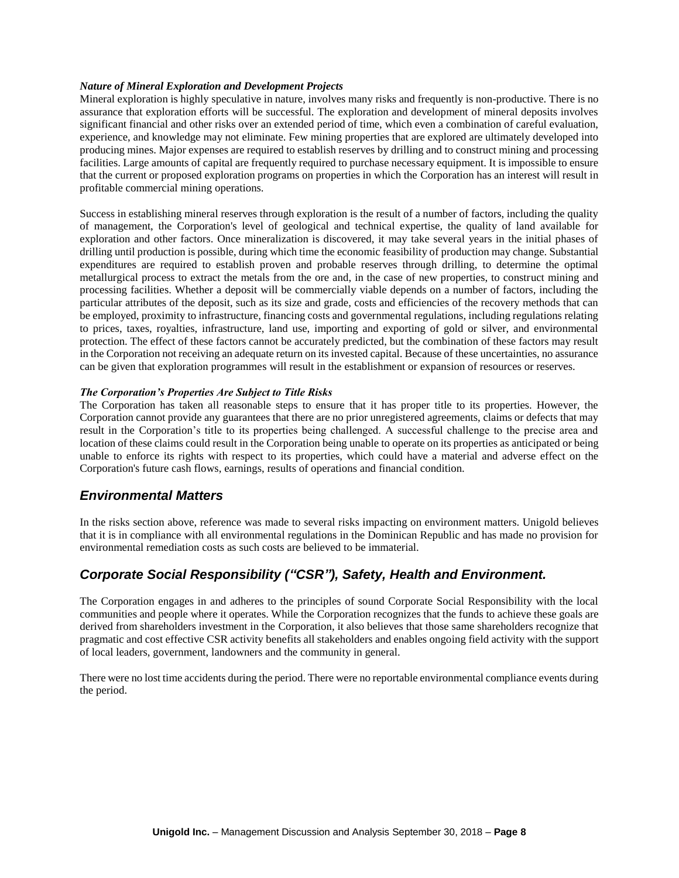#### *Nature of Mineral Exploration and Development Projects*

Mineral exploration is highly speculative in nature, involves many risks and frequently is non-productive. There is no assurance that exploration efforts will be successful. The exploration and development of mineral deposits involves significant financial and other risks over an extended period of time, which even a combination of careful evaluation, experience, and knowledge may not eliminate. Few mining properties that are explored are ultimately developed into producing mines. Major expenses are required to establish reserves by drilling and to construct mining and processing facilities. Large amounts of capital are frequently required to purchase necessary equipment. It is impossible to ensure that the current or proposed exploration programs on properties in which the Corporation has an interest will result in profitable commercial mining operations.

Success in establishing mineral reserves through exploration is the result of a number of factors, including the quality of management, the Corporation's level of geological and technical expertise, the quality of land available for exploration and other factors. Once mineralization is discovered, it may take several years in the initial phases of drilling until production is possible, during which time the economic feasibility of production may change. Substantial expenditures are required to establish proven and probable reserves through drilling, to determine the optimal metallurgical process to extract the metals from the ore and, in the case of new properties, to construct mining and processing facilities. Whether a deposit will be commercially viable depends on a number of factors, including the particular attributes of the deposit, such as its size and grade, costs and efficiencies of the recovery methods that can be employed, proximity to infrastructure, financing costs and governmental regulations, including regulations relating to prices, taxes, royalties, infrastructure, land use, importing and exporting of gold or silver, and environmental protection. The effect of these factors cannot be accurately predicted, but the combination of these factors may result in the Corporation not receiving an adequate return on its invested capital. Because of these uncertainties, no assurance can be given that exploration programmes will result in the establishment or expansion of resources or reserves.

#### *The Corporation's Properties Are Subject to Title Risks*

The Corporation has taken all reasonable steps to ensure that it has proper title to its properties. However, the Corporation cannot provide any guarantees that there are no prior unregistered agreements, claims or defects that may result in the Corporation's title to its properties being challenged. A successful challenge to the precise area and location of these claims could result in the Corporation being unable to operate on its properties as anticipated or being unable to enforce its rights with respect to its properties, which could have a material and adverse effect on the Corporation's future cash flows, earnings, results of operations and financial condition.

### *Environmental Matters*

In the risks section above, reference was made to several risks impacting on environment matters. Unigold believes that it is in compliance with all environmental regulations in the Dominican Republic and has made no provision for environmental remediation costs as such costs are believed to be immaterial.

## *Corporate Social Responsibility ("CSR"), Safety, Health and Environment.*

The Corporation engages in and adheres to the principles of sound Corporate Social Responsibility with the local communities and people where it operates. While the Corporation recognizes that the funds to achieve these goals are derived from shareholders investment in the Corporation, it also believes that those same shareholders recognize that pragmatic and cost effective CSR activity benefits all stakeholders and enables ongoing field activity with the support of local leaders, government, landowners and the community in general.

There were no lost time accidents during the period. There were no reportable environmental compliance events during the period.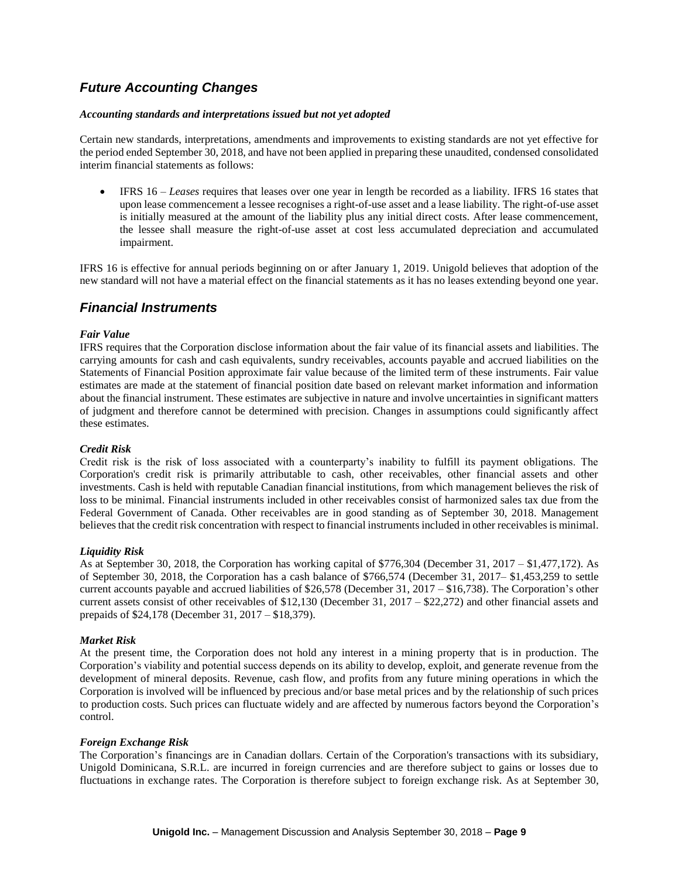## *Future Accounting Changes*

#### *Accounting standards and interpretations issued but not yet adopted*

Certain new standards, interpretations, amendments and improvements to existing standards are not yet effective for the period ended September 30, 2018, and have not been applied in preparing these unaudited, condensed consolidated interim financial statements as follows:

 IFRS 16 – *Leases* requires that leases over one year in length be recorded as a liability. IFRS 16 states that upon lease commencement a lessee recognises a right-of-use asset and a lease liability. The right-of-use asset is initially measured at the amount of the liability plus any initial direct costs. After lease commencement, the lessee shall measure the right-of-use asset at cost less accumulated depreciation and accumulated impairment.

IFRS 16 is effective for annual periods beginning on or after January 1, 2019. Unigold believes that adoption of the new standard will not have a material effect on the financial statements as it has no leases extending beyond one year.

### *Financial Instruments*

#### *Fair Value*

IFRS requires that the Corporation disclose information about the fair value of its financial assets and liabilities. The carrying amounts for cash and cash equivalents, sundry receivables, accounts payable and accrued liabilities on the Statements of Financial Position approximate fair value because of the limited term of these instruments. Fair value estimates are made at the statement of financial position date based on relevant market information and information about the financial instrument. These estimates are subjective in nature and involve uncertainties in significant matters of judgment and therefore cannot be determined with precision. Changes in assumptions could significantly affect these estimates.

#### *Credit Risk*

Credit risk is the risk of loss associated with a counterparty's inability to fulfill its payment obligations. The Corporation's credit risk is primarily attributable to cash, other receivables, other financial assets and other investments. Cash is held with reputable Canadian financial institutions, from which management believes the risk of loss to be minimal. Financial instruments included in other receivables consist of harmonized sales tax due from the Federal Government of Canada. Other receivables are in good standing as of September 30, 2018. Management believes that the credit risk concentration with respect to financial instruments included in other receivables is minimal.

#### *Liquidity Risk*

As at September 30, 2018, the Corporation has working capital of \$776,304 (December 31, 2017 – \$1,477,172). As of September 30, 2018, the Corporation has a cash balance of \$766,574 (December 31, 2017– \$1,453,259 to settle current accounts payable and accrued liabilities of \$26,578 (December 31, 2017 – \$16,738). The Corporation's other current assets consist of other receivables of \$12,130 (December 31, 2017 – \$22,272) and other financial assets and prepaids of \$24,178 (December 31, 2017 – \$18,379).

#### *Market Risk*

At the present time, the Corporation does not hold any interest in a mining property that is in production. The Corporation's viability and potential success depends on its ability to develop, exploit, and generate revenue from the development of mineral deposits. Revenue, cash flow, and profits from any future mining operations in which the Corporation is involved will be influenced by precious and/or base metal prices and by the relationship of such prices to production costs. Such prices can fluctuate widely and are affected by numerous factors beyond the Corporation's control.

#### *Foreign Exchange Risk*

The Corporation's financings are in Canadian dollars. Certain of the Corporation's transactions with its subsidiary, Unigold Dominicana, S.R.L. are incurred in foreign currencies and are therefore subject to gains or losses due to fluctuations in exchange rates. The Corporation is therefore subject to foreign exchange risk. As at September 30,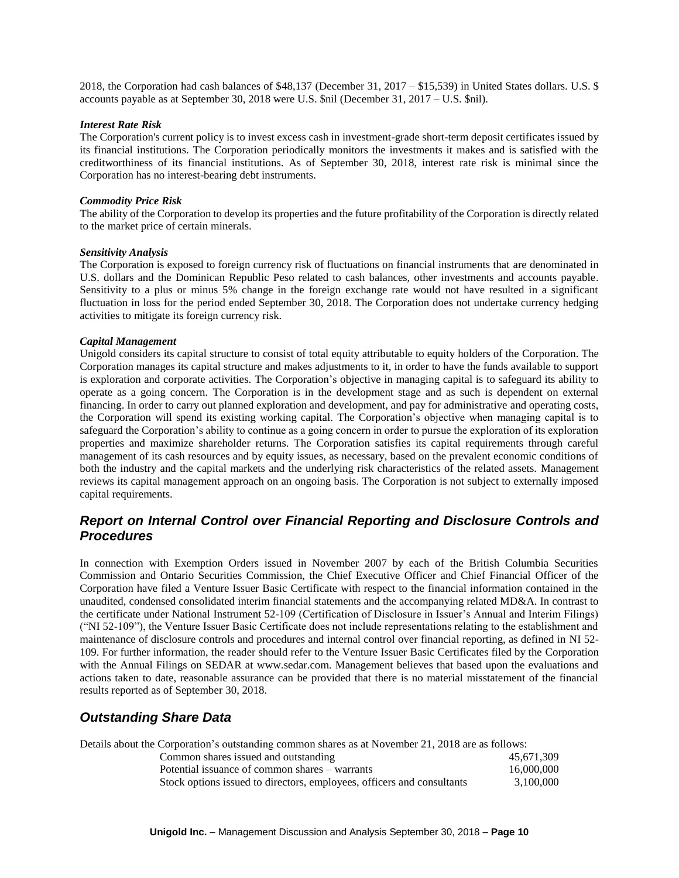2018, the Corporation had cash balances of \$48,137 (December 31, 2017 – \$15,539) in United States dollars. U.S. \$ accounts payable as at September 30, 2018 were U.S. \$nil (December 31, 2017 – U.S. \$nil).

#### *Interest Rate Risk*

The Corporation's current policy is to invest excess cash in investment-grade short-term deposit certificates issued by its financial institutions. The Corporation periodically monitors the investments it makes and is satisfied with the creditworthiness of its financial institutions. As of September 30, 2018, interest rate risk is minimal since the Corporation has no interest-bearing debt instruments.

#### *Commodity Price Risk*

The ability of the Corporation to develop its properties and the future profitability of the Corporation is directly related to the market price of certain minerals.

#### *Sensitivity Analysis*

The Corporation is exposed to foreign currency risk of fluctuations on financial instruments that are denominated in U.S. dollars and the Dominican Republic Peso related to cash balances, other investments and accounts payable. Sensitivity to a plus or minus 5% change in the foreign exchange rate would not have resulted in a significant fluctuation in loss for the period ended September 30, 2018. The Corporation does not undertake currency hedging activities to mitigate its foreign currency risk.

#### *Capital Management*

Unigold considers its capital structure to consist of total equity attributable to equity holders of the Corporation. The Corporation manages its capital structure and makes adjustments to it, in order to have the funds available to support is exploration and corporate activities. The Corporation's objective in managing capital is to safeguard its ability to operate as a going concern. The Corporation is in the development stage and as such is dependent on external financing. In order to carry out planned exploration and development, and pay for administrative and operating costs, the Corporation will spend its existing working capital. The Corporation's objective when managing capital is to safeguard the Corporation's ability to continue as a going concern in order to pursue the exploration of its exploration properties and maximize shareholder returns. The Corporation satisfies its capital requirements through careful management of its cash resources and by equity issues, as necessary, based on the prevalent economic conditions of both the industry and the capital markets and the underlying risk characteristics of the related assets. Management reviews its capital management approach on an ongoing basis. The Corporation is not subject to externally imposed capital requirements.

## *Report on Internal Control over Financial Reporting and Disclosure Controls and Procedures*

In connection with Exemption Orders issued in November 2007 by each of the British Columbia Securities Commission and Ontario Securities Commission, the Chief Executive Officer and Chief Financial Officer of the Corporation have filed a Venture Issuer Basic Certificate with respect to the financial information contained in the unaudited, condensed consolidated interim financial statements and the accompanying related MD&A. In contrast to the certificate under National Instrument 52-109 (Certification of Disclosure in Issuer's Annual and Interim Filings) ("NI 52-109"), the Venture Issuer Basic Certificate does not include representations relating to the establishment and maintenance of disclosure controls and procedures and internal control over financial reporting, as defined in NI 52- 109. For further information, the reader should refer to the Venture Issuer Basic Certificates filed by the Corporation with the Annual Filings on SEDAR at www.sedar.com. Management believes that based upon the evaluations and actions taken to date, reasonable assurance can be provided that there is no material misstatement of the financial results reported as of September 30, 2018.

### *Outstanding Share Data*

Details about the Corporation's outstanding common shares as at November 21, 2018 are as follows:

| Common shares issued and outstanding                                   | 45.671.309 |
|------------------------------------------------------------------------|------------|
| Potential issuance of common shares – warrants                         | 16,000,000 |
| Stock options issued to directors, employees, officers and consultants | 3.100.000  |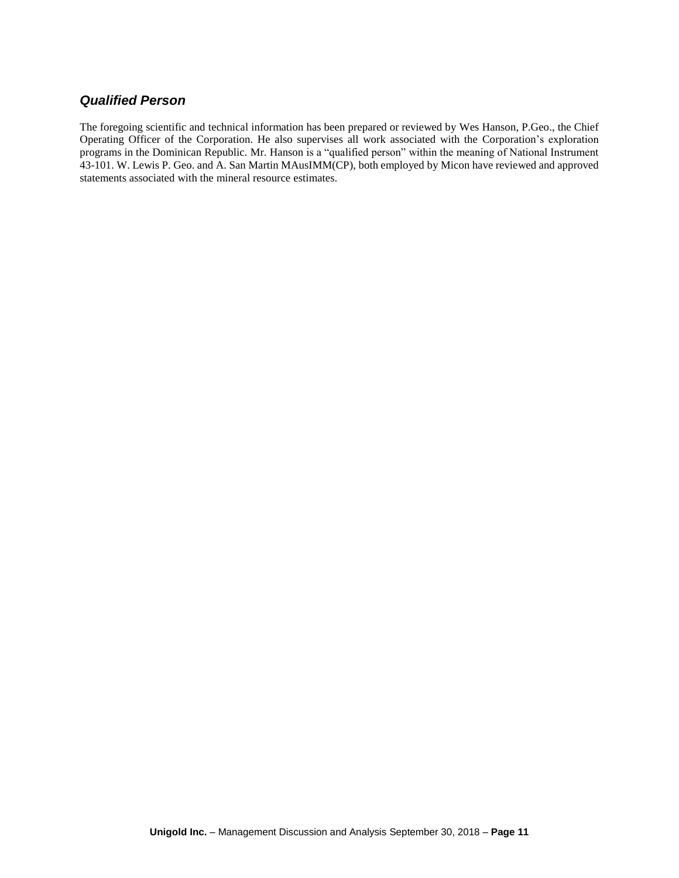## *Qualified Person*

The foregoing scientific and technical information has been prepared or reviewed by Wes Hanson, P.Geo., the Chief Operating Officer of the Corporation. He also supervises all work associated with the Corporation's exploration programs in the Dominican Republic. Mr. Hanson is a "qualified person" within the meaning of National Instrument 43-101. W. Lewis P. Geo. and A. San Martin MAusIMM(CP), both employed by Micon have reviewed and approved statements associated with the mineral resource estimates.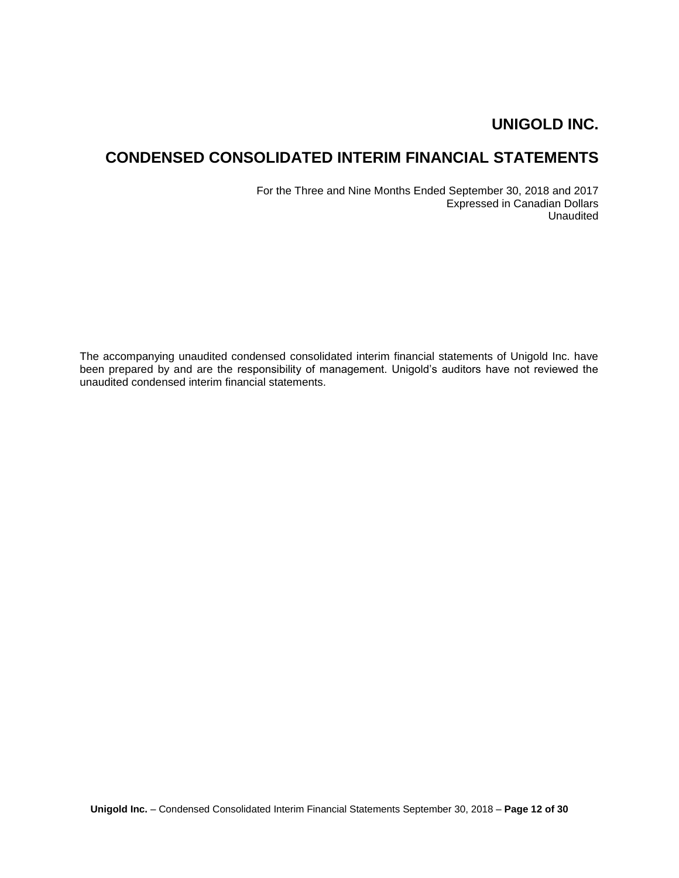# **CONDENSED CONSOLIDATED INTERIM FINANCIAL STATEMENTS**

For the Three and Nine Months Ended September 30, 2018 and 2017 Expressed in Canadian Dollars Unaudited

The accompanying unaudited condensed consolidated interim financial statements of Unigold Inc. have been prepared by and are the responsibility of management. Unigold's auditors have not reviewed the unaudited condensed interim financial statements.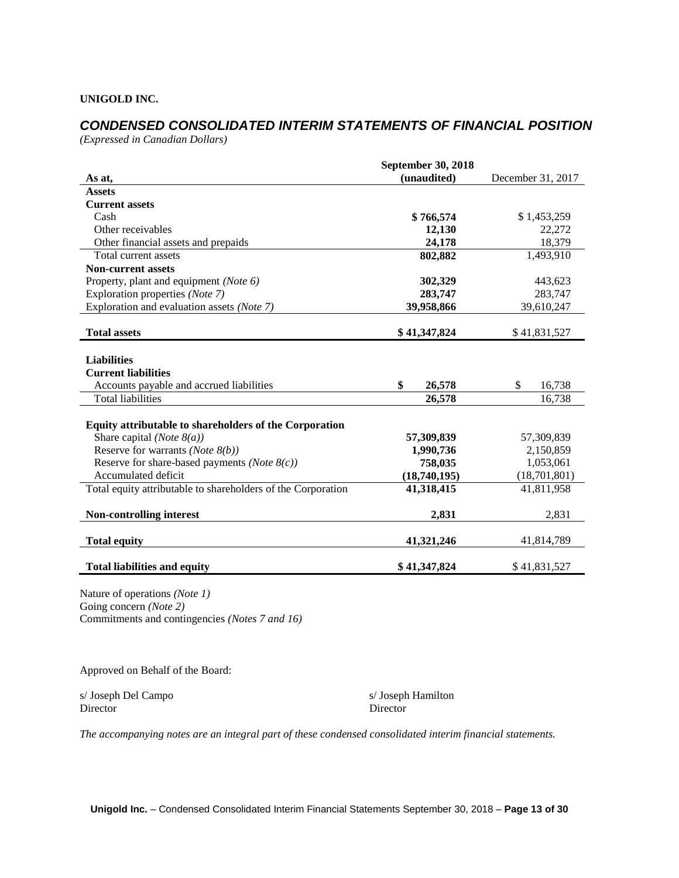# *CONDENSED CONSOLIDATED INTERIM STATEMENTS OF FINANCIAL POSITION*

*(Expressed in Canadian Dollars)*

|                                                              | <b>September 30, 2018</b> |                   |
|--------------------------------------------------------------|---------------------------|-------------------|
| As at,                                                       | (unaudited)               | December 31, 2017 |
| <b>Assets</b>                                                |                           |                   |
| <b>Current assets</b>                                        |                           |                   |
| Cash                                                         | \$766,574                 | \$1,453,259       |
| Other receivables                                            | 12,130                    | 22,272            |
| Other financial assets and prepaids                          | 24,178                    | 18,379            |
| Total current assets                                         | 802,882                   | 1,493,910         |
| <b>Non-current assets</b>                                    |                           |                   |
| Property, plant and equipment (Note 6)                       | 302,329                   | 443,623           |
| Exploration properties (Note 7)                              | 283,747                   | 283,747           |
| Exploration and evaluation assets (Note 7)                   | 39,958,866                | 39,610,247        |
|                                                              |                           |                   |
| <b>Total assets</b>                                          | \$41,347,824              | \$41,831,527      |
|                                                              |                           |                   |
| <b>Liabilities</b>                                           |                           |                   |
| <b>Current liabilities</b>                                   |                           |                   |
| Accounts payable and accrued liabilities                     | \$<br>26,578              | \$<br>16,738      |
| <b>Total liabilities</b>                                     | 26,578                    | 16,738            |
|                                                              |                           |                   |
| Equity attributable to shareholders of the Corporation       |                           |                   |
| Share capital ( <i>Note</i> $8(a)$ )                         | 57,309,839                | 57,309,839        |
| Reserve for warrants ( <i>Note</i> $8(b)$ )                  | 1,990,736                 | 2,150,859         |
| Reserve for share-based payments (Note $8(c)$ )              | 758,035                   | 1,053,061         |
| Accumulated deficit                                          | (18,740,195)              | (18,701,801)      |
| Total equity attributable to shareholders of the Corporation | 41,318,415                | 41,811,958        |
| <b>Non-controlling interest</b>                              | 2,831                     | 2,831             |
| <b>Total equity</b>                                          | 41,321,246                | 41,814,789        |
| <b>Total liabilities and equity</b>                          | \$41,347,824              | \$41,831,527      |

Nature of operations *(Note 1)* Going concern *(Note 2)* Commitments and contingencies *(Notes 7 and 16)*

Approved on Behalf of the Board:

s/ Joseph Del Campo s/ Joseph Hamilton Director Director Director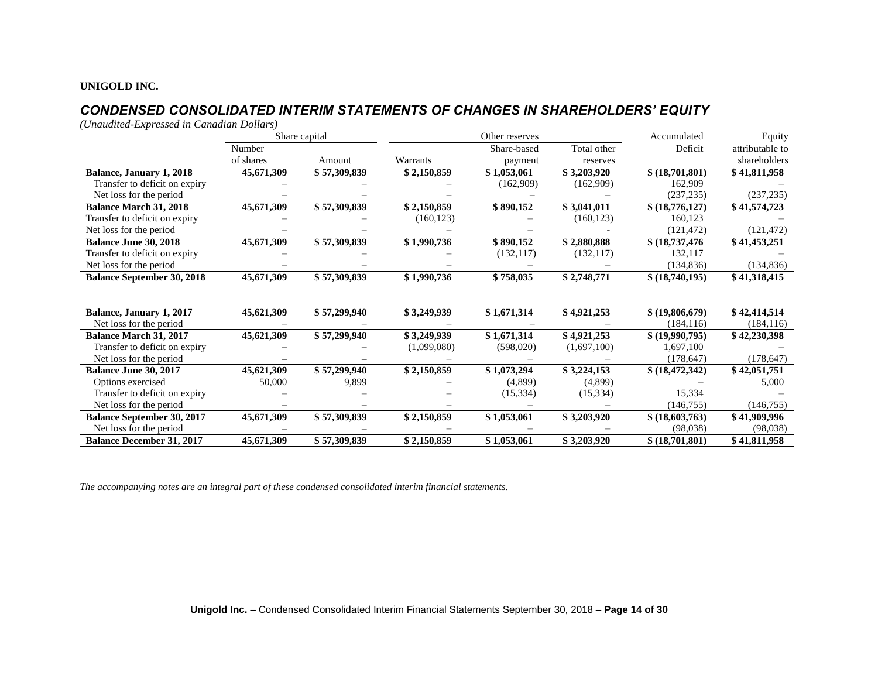## *CONDENSED CONSOLIDATED INTERIM STATEMENTS OF CHANGES IN SHAREHOLDERS' EQUITY*

*(Unaudited-Expressed in Canadian Dollars)*

|                                   |            | Share capital | Other reserves |             |             | Accumulated<br>Equity |                 |
|-----------------------------------|------------|---------------|----------------|-------------|-------------|-----------------------|-----------------|
|                                   | Number     |               |                | Share-based | Total other | Deficit               | attributable to |
|                                   | of shares  | Amount        | Warrants       | payment     | reserves    |                       | shareholders    |
| <b>Balance, January 1, 2018</b>   | 45,671,309 | \$57,309,839  | \$2,150,859    | \$1,053,061 | \$3,203,920 | \$(18,701,801)        | \$41,811,958    |
| Transfer to deficit on expiry     |            |               |                | (162,909)   | (162,909)   | 162,909               |                 |
| Net loss for the period           |            |               |                |             |             | (237, 235)            | (237, 235)      |
| <b>Balance March 31, 2018</b>     | 45,671,309 | \$57,309,839  | \$2,150,859    | \$890,152   | \$3,041,011 | \$(18,776,127)        | \$41,574,723    |
| Transfer to deficit on expiry     |            |               | (160, 123)     |             | (160, 123)  | 160,123               |                 |
| Net loss for the period           |            |               |                |             |             | (121, 472)            | (121, 472)      |
| <b>Balance June 30, 2018</b>      | 45,671,309 | \$57,309,839  | \$1,990,736    | \$890,152   | \$2,880,888 | \$(18,737,476)        | \$41,453,251    |
| Transfer to deficit on expiry     |            |               |                | (132, 117)  | (132, 117)  | 132.117               |                 |
| Net loss for the period           |            |               |                |             |             | (134, 836)            | (134, 836)      |
| <b>Balance September 30, 2018</b> | 45,671,309 | \$57,309,839  | \$1,990,736    | \$758,035   | \$2,748,771 | \$ (18,740,195)       | \$41,318,415    |
|                                   |            |               |                |             |             |                       |                 |
|                                   |            |               |                |             |             |                       |                 |
| Balance, January 1, 2017          | 45,621,309 | \$57,299,940  | \$3,249,939    | \$1,671,314 | \$4,921,253 | \$ (19,806,679)       | \$42,414,514    |
| Net loss for the period           |            |               |                |             |             | (184, 116)            | (184, 116)      |
| <b>Balance March 31, 2017</b>     | 45,621,309 | \$57,299,940  | \$3,249,939    | \$1,671,314 | \$4,921,253 | \$ (19,990,795)       | \$42,230,398    |
| Transfer to deficit on expiry     |            |               | (1,099,080)    | (598,020)   | (1,697,100) | 1,697,100             |                 |
| Net loss for the period           |            |               |                |             |             | (178, 647)            | (178, 647)      |
| Balance June 30, 2017             | 45,621,309 | \$57,299,940  | \$2,150,859    | \$1,073,294 | \$3,224,153 | \$ (18, 472, 342)     | \$42,051,751    |
| Options exercised                 | 50,000     | 9,899         |                | (4,899)     | (4,899)     |                       | 5,000           |
| Transfer to deficit on expiry     |            |               |                | (15, 334)   | (15, 334)   | 15,334                |                 |
| Net loss for the period           |            |               |                |             |             | (146.755)             | (146, 755)      |
| <b>Balance September 30, 2017</b> | 45,671,309 | \$57,309,839  | \$2,150,859    | \$1,053,061 | \$3,203,920 | \$ (18,603,763)       | \$41,909,996    |
| Net loss for the period           |            |               |                |             |             | (98,038)              | (98,038)        |
| <b>Balance December 31, 2017</b>  | 45,671,309 | \$57,309,839  | \$2,150,859    | \$1,053,061 | \$3,203,920 | \$(18,701,801)        | \$41,811,958    |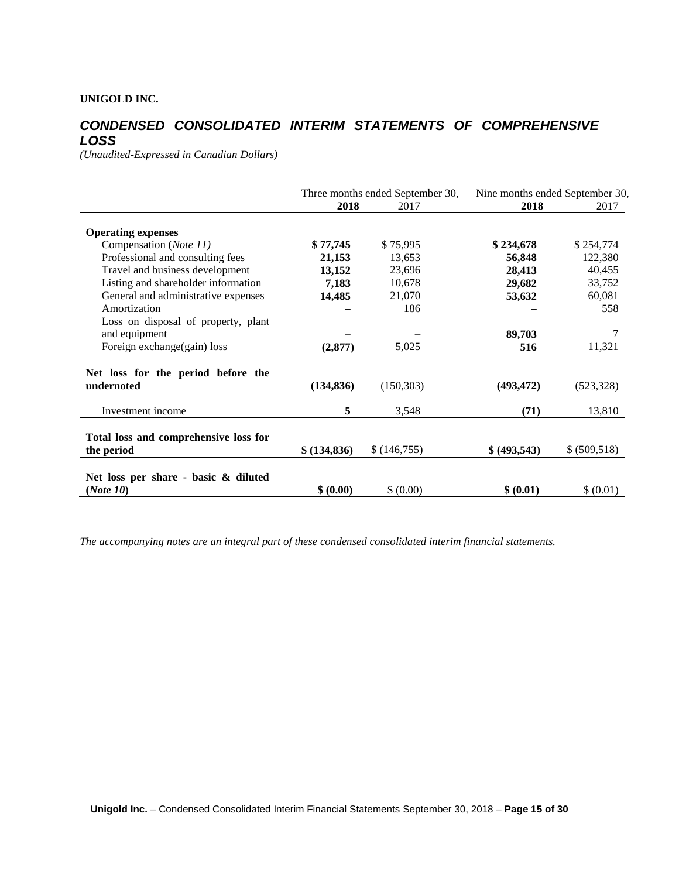## *CONDENSED CONSOLIDATED INTERIM STATEMENTS OF COMPREHENSIVE LOSS*

*(Unaudited-Expressed in Canadian Dollars)* 

|                                                     | Three months ended September 30, |             | Nine months ended September 30, |               |
|-----------------------------------------------------|----------------------------------|-------------|---------------------------------|---------------|
|                                                     | 2018                             | 2017        | 2018                            | 2017          |
| <b>Operating expenses</b>                           |                                  |             |                                 |               |
| Compensation (Note 11)                              | \$77,745                         | \$75,995    | \$234,678                       | \$254,774     |
| Professional and consulting fees                    | 21,153                           | 13,653      | 56,848                          | 122,380       |
| Travel and business development                     | 13,152                           | 23,696      | 28,413                          | 40,455        |
| Listing and shareholder information                 | 7,183                            | 10,678      | 29,682                          | 33,752        |
| General and administrative expenses                 | 14,485                           | 21,070      | 53,632                          | 60,081        |
| Amortization                                        |                                  | 186         |                                 | 558           |
| Loss on disposal of property, plant                 |                                  |             |                                 |               |
| and equipment                                       |                                  |             | 89,703                          |               |
| Foreign exchange(gain) loss                         | (2, 877)                         | 5,025       | 516                             | 11,321        |
| Net loss for the period before the<br>undernoted    | (134, 836)                       | (150, 303)  | (493, 472)                      | (523, 328)    |
| Investment income                                   | 5                                | 3,548       | (71)                            | 13,810        |
| Total loss and comprehensive loss for<br>the period | \$ (134,836)                     | \$(146,755) | \$ (493,543)                    | \$ (509, 518) |
| Net loss per share - basic & diluted<br>(Note 10)   | \$ (0.00)                        | \$ (0.00)   | \$ (0.01)                       | \$ (0.01)     |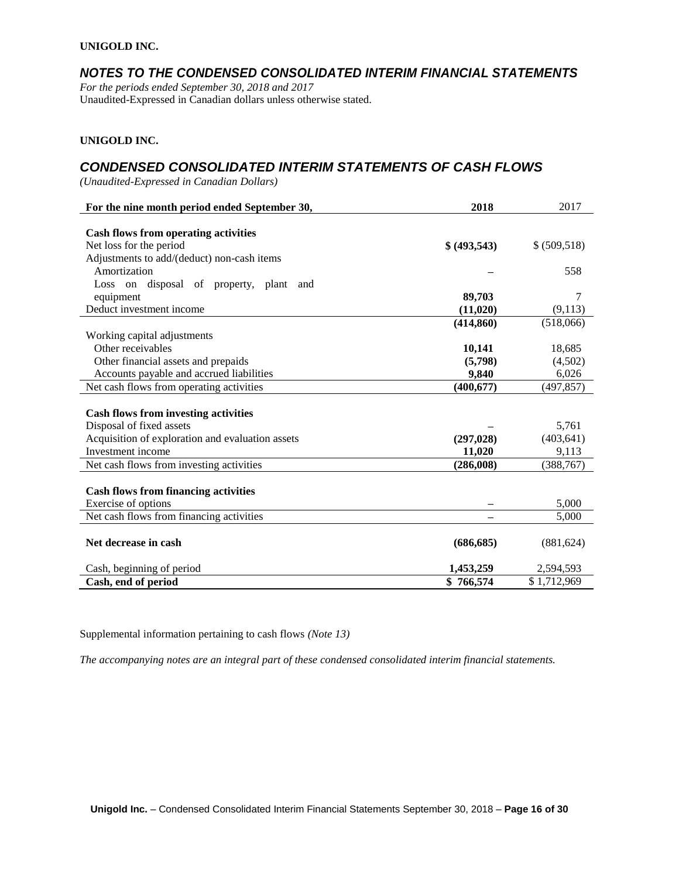### *NOTES TO THE CONDENSED CONSOLIDATED INTERIM FINANCIAL STATEMENTS*

*For the periods ended September 30, 2018 and 2017* Unaudited-Expressed in Canadian dollars unless otherwise stated.

#### **UNIGOLD INC.**

### *CONDENSED CONSOLIDATED INTERIM STATEMENTS OF CASH FLOWS*

*(Unaudited-Expressed in Canadian Dollars)* 

| For the nine month period ended September 30,    | 2018         | 2017          |
|--------------------------------------------------|--------------|---------------|
|                                                  |              |               |
| <b>Cash flows from operating activities</b>      |              |               |
| Net loss for the period                          | \$ (493,543) | \$ (509, 518) |
| Adjustments to add/(deduct) non-cash items       |              |               |
| Amortization                                     |              | 558           |
| Loss on disposal of property, plant<br>and       |              |               |
| equipment                                        | 89,703       | 7             |
| Deduct investment income                         | (11, 020)    | (9,113)       |
|                                                  | (414, 860)   | (518,066)     |
| Working capital adjustments                      |              |               |
| Other receivables                                | 10,141       | 18,685        |
| Other financial assets and prepaids              | (5,798)      | (4,502)       |
| Accounts payable and accrued liabilities         | 9,840        | 6,026         |
| Net cash flows from operating activities         | (400, 677)   | (497, 857)    |
|                                                  |              |               |
| <b>Cash flows from investing activities</b>      |              |               |
| Disposal of fixed assets                         |              | 5,761         |
| Acquisition of exploration and evaluation assets | (297, 028)   | (403, 641)    |
| Investment income                                | 11,020       | 9,113         |
| Net cash flows from investing activities         | (286,008)    | (388, 767)    |
|                                                  |              |               |
| <b>Cash flows from financing activities</b>      |              |               |
| Exercise of options                              |              | 5,000         |
| Net cash flows from financing activities         |              | 5,000         |
|                                                  |              |               |
| Net decrease in cash                             | (686, 685)   | (881, 624)    |
| Cash, beginning of period                        | 1,453,259    | 2,594,593     |
| Cash, end of period                              | \$766,574    | \$1,712,969   |

Supplemental information pertaining to cash flows *(Note 13)*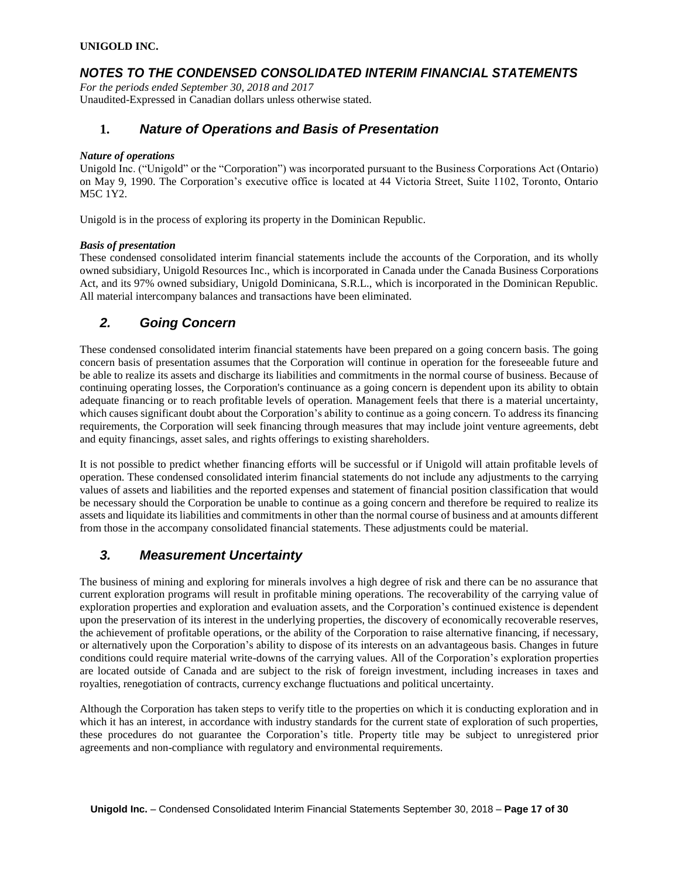## *NOTES TO THE CONDENSED CONSOLIDATED INTERIM FINANCIAL STATEMENTS*

*For the periods ended September 30, 2018 and 2017* Unaudited-Expressed in Canadian dollars unless otherwise stated.

### **1.** *Nature of Operations and Basis of Presentation*

#### *Nature of operations*

Unigold Inc. ("Unigold" or the "Corporation") was incorporated pursuant to the Business Corporations Act (Ontario) on May 9, 1990. The Corporation's executive office is located at 44 Victoria Street, Suite 1102, Toronto, Ontario M5C 1Y2.

Unigold is in the process of exploring its property in the Dominican Republic.

#### *Basis of presentation*

These condensed consolidated interim financial statements include the accounts of the Corporation, and its wholly owned subsidiary, Unigold Resources Inc., which is incorporated in Canada under the Canada Business Corporations Act, and its 97% owned subsidiary, Unigold Dominicana, S.R.L., which is incorporated in the Dominican Republic. All material intercompany balances and transactions have been eliminated.

## *2. Going Concern*

These condensed consolidated interim financial statements have been prepared on a going concern basis. The going concern basis of presentation assumes that the Corporation will continue in operation for the foreseeable future and be able to realize its assets and discharge its liabilities and commitments in the normal course of business. Because of continuing operating losses, the Corporation's continuance as a going concern is dependent upon its ability to obtain adequate financing or to reach profitable levels of operation. Management feels that there is a material uncertainty, which causes significant doubt about the Corporation's ability to continue as a going concern. To address its financing requirements, the Corporation will seek financing through measures that may include joint venture agreements, debt and equity financings, asset sales, and rights offerings to existing shareholders.

It is not possible to predict whether financing efforts will be successful or if Unigold will attain profitable levels of operation. These condensed consolidated interim financial statements do not include any adjustments to the carrying values of assets and liabilities and the reported expenses and statement of financial position classification that would be necessary should the Corporation be unable to continue as a going concern and therefore be required to realize its assets and liquidate its liabilities and commitments in other than the normal course of business and at amounts different from those in the accompany consolidated financial statements. These adjustments could be material.

## *3. Measurement Uncertainty*

The business of mining and exploring for minerals involves a high degree of risk and there can be no assurance that current exploration programs will result in profitable mining operations. The recoverability of the carrying value of exploration properties and exploration and evaluation assets, and the Corporation's continued existence is dependent upon the preservation of its interest in the underlying properties, the discovery of economically recoverable reserves, the achievement of profitable operations, or the ability of the Corporation to raise alternative financing, if necessary, or alternatively upon the Corporation's ability to dispose of its interests on an advantageous basis. Changes in future conditions could require material write-downs of the carrying values. All of the Corporation's exploration properties are located outside of Canada and are subject to the risk of foreign investment, including increases in taxes and royalties, renegotiation of contracts, currency exchange fluctuations and political uncertainty.

Although the Corporation has taken steps to verify title to the properties on which it is conducting exploration and in which it has an interest, in accordance with industry standards for the current state of exploration of such properties, these procedures do not guarantee the Corporation's title. Property title may be subject to unregistered prior agreements and non-compliance with regulatory and environmental requirements.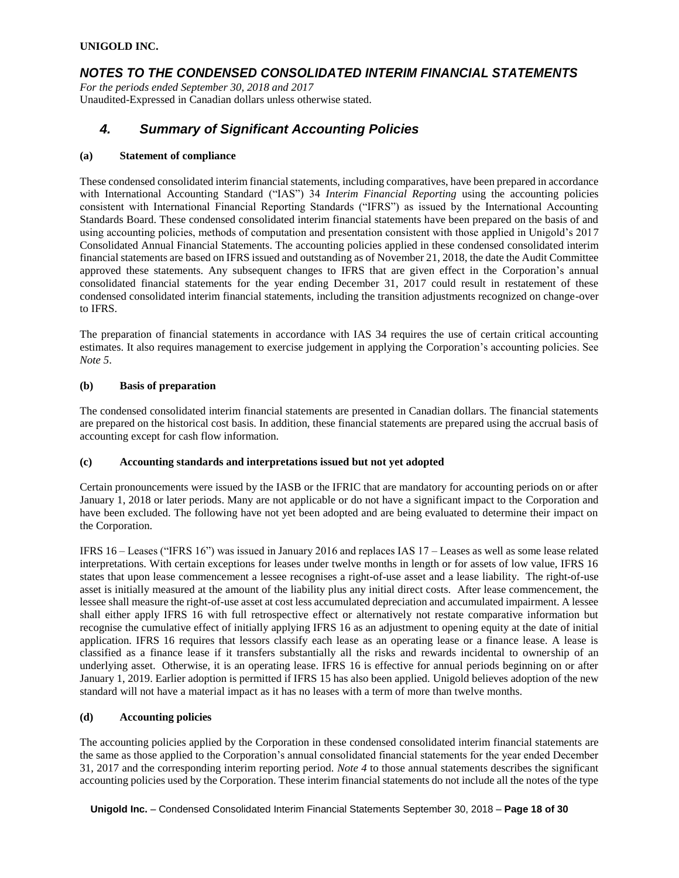## *NOTES TO THE CONDENSED CONSOLIDATED INTERIM FINANCIAL STATEMENTS*

*For the periods ended September 30, 2018 and 2017* Unaudited-Expressed in Canadian dollars unless otherwise stated.

## *4. Summary of Significant Accounting Policies*

#### **(a) Statement of compliance**

These condensed consolidated interim financial statements, including comparatives, have been prepared in accordance with International Accounting Standard ("IAS") 34 *Interim Financial Reporting* using the accounting policies consistent with International Financial Reporting Standards ("IFRS") as issued by the International Accounting Standards Board. These condensed consolidated interim financial statements have been prepared on the basis of and using accounting policies, methods of computation and presentation consistent with those applied in Unigold's 2017 Consolidated Annual Financial Statements. The accounting policies applied in these condensed consolidated interim financial statements are based on IFRS issued and outstanding as of November 21, 2018, the date the Audit Committee approved these statements. Any subsequent changes to IFRS that are given effect in the Corporation's annual consolidated financial statements for the year ending December 31, 2017 could result in restatement of these condensed consolidated interim financial statements, including the transition adjustments recognized on change-over to IFRS.

The preparation of financial statements in accordance with IAS 34 requires the use of certain critical accounting estimates. It also requires management to exercise judgement in applying the Corporation's accounting policies. See *Note 5*.

#### **(b) Basis of preparation**

The condensed consolidated interim financial statements are presented in Canadian dollars. The financial statements are prepared on the historical cost basis. In addition, these financial statements are prepared using the accrual basis of accounting except for cash flow information.

#### **(c) Accounting standards and interpretations issued but not yet adopted**

Certain pronouncements were issued by the IASB or the IFRIC that are mandatory for accounting periods on or after January 1, 2018 or later periods. Many are not applicable or do not have a significant impact to the Corporation and have been excluded. The following have not yet been adopted and are being evaluated to determine their impact on the Corporation.

IFRS 16 – Leases ("IFRS 16") was issued in January 2016 and replaces IAS 17 – Leases as well as some lease related interpretations. With certain exceptions for leases under twelve months in length or for assets of low value, IFRS 16 states that upon lease commencement a lessee recognises a right-of-use asset and a lease liability. The right-of-use asset is initially measured at the amount of the liability plus any initial direct costs. After lease commencement, the lessee shall measure the right-of-use asset at cost less accumulated depreciation and accumulated impairment. A lessee shall either apply IFRS 16 with full retrospective effect or alternatively not restate comparative information but recognise the cumulative effect of initially applying IFRS 16 as an adjustment to opening equity at the date of initial application. IFRS 16 requires that lessors classify each lease as an operating lease or a finance lease. A lease is classified as a finance lease if it transfers substantially all the risks and rewards incidental to ownership of an underlying asset. Otherwise, it is an operating lease. IFRS 16 is effective for annual periods beginning on or after January 1, 2019. Earlier adoption is permitted if IFRS 15 has also been applied. Unigold believes adoption of the new standard will not have a material impact as it has no leases with a term of more than twelve months.

#### **(d) Accounting policies**

The accounting policies applied by the Corporation in these condensed consolidated interim financial statements are the same as those applied to the Corporation's annual consolidated financial statements for the year ended December 31, 2017 and the corresponding interim reporting period. *Note 4* to those annual statements describes the significant accounting policies used by the Corporation. These interim financial statements do not include all the notes of the type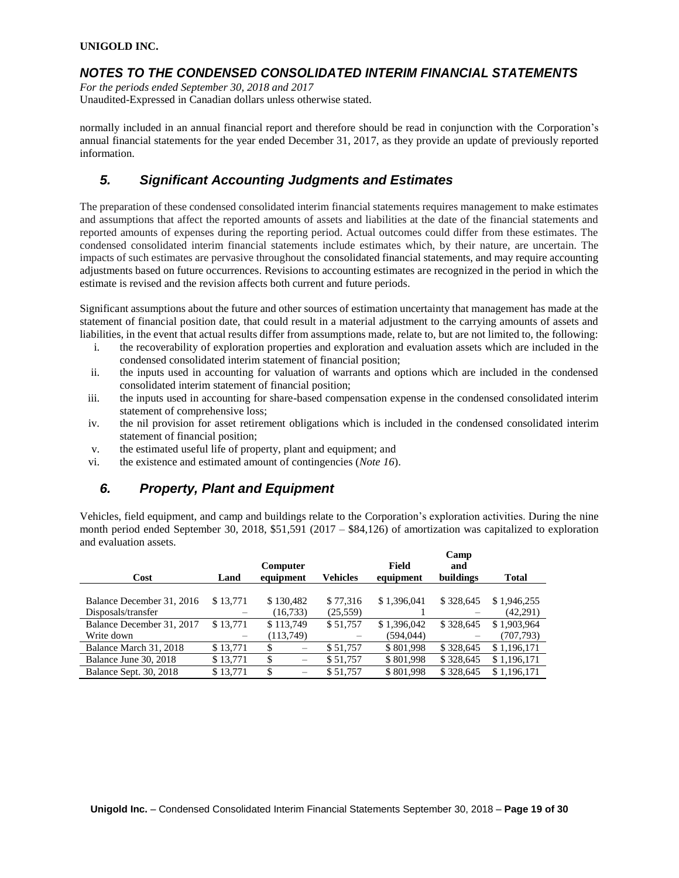### *NOTES TO THE CONDENSED CONSOLIDATED INTERIM FINANCIAL STATEMENTS*

*For the periods ended September 30, 2018 and 2017* Unaudited-Expressed in Canadian dollars unless otherwise stated.

normally included in an annual financial report and therefore should be read in conjunction with the Corporation's annual financial statements for the year ended December 31, 2017, as they provide an update of previously reported information.

## *5. Significant Accounting Judgments and Estimates*

The preparation of these condensed consolidated interim financial statements requires management to make estimates and assumptions that affect the reported amounts of assets and liabilities at the date of the financial statements and reported amounts of expenses during the reporting period. Actual outcomes could differ from these estimates. The condensed consolidated interim financial statements include estimates which, by their nature, are uncertain. The impacts of such estimates are pervasive throughout the consolidated financial statements, and may require accounting adjustments based on future occurrences. Revisions to accounting estimates are recognized in the period in which the estimate is revised and the revision affects both current and future periods.

Significant assumptions about the future and other sources of estimation uncertainty that management has made at the statement of financial position date, that could result in a material adjustment to the carrying amounts of assets and liabilities, in the event that actual results differ from assumptions made, relate to, but are not limited to, the following:

- i. the recoverability of exploration properties and exploration and evaluation assets which are included in the condensed consolidated interim statement of financial position;
- ii. the inputs used in accounting for valuation of warrants and options which are included in the condensed consolidated interim statement of financial position;
- iii. the inputs used in accounting for share-based compensation expense in the condensed consolidated interim statement of comprehensive loss;
- iv. the nil provision for asset retirement obligations which is included in the condensed consolidated interim statement of financial position;
- v. the estimated useful life of property, plant and equipment; and
- vi. the existence and estimated amount of contingencies (*Note 16*).

## *6. Property, Plant and Equipment*

Vehicles, field equipment, and camp and buildings relate to the Corporation's exploration activities. During the nine month period ended September 30, 2018, \$51,591 (2017 – \$84,126) of amortization was capitalized to exploration and evaluation assets.

|                               |          |                       |           |                    | Camp             |              |
|-------------------------------|----------|-----------------------|-----------|--------------------|------------------|--------------|
| Cost                          | Land     | Computer<br>equipment | Vehicles  | Field<br>equipment | and<br>buildings | <b>Total</b> |
|                               |          |                       |           |                    |                  |              |
| Balance December 31, 2016     | \$13,771 | \$130,482             | \$77,316  | \$1,396,041        | \$328,645        | \$1,946,255  |
| Disposals/transfer            |          | (16,733)              | (25, 559) |                    |                  | (42, 291)    |
| Balance December 31, 2017     | \$13,771 | \$113,749             | \$51,757  | \$1,396,042        | \$328,645        | \$1,903,964  |
| Write down                    |          | (113,749)             |           | (594, 044)         |                  | (707,793)    |
| Balance March 31, 2018        | \$13,771 | \$                    | \$51,757  | \$801,998          | \$328,645        | \$1,196,171  |
| Balance June 30, 2018         | \$13,771 | \$                    | \$51,757  | \$801,998          | \$328,645        | \$1,196,171  |
| <b>Balance Sept. 30, 2018</b> | \$13.771 | \$                    | \$51,757  | \$801,998          | \$328,645        | \$1,196,171  |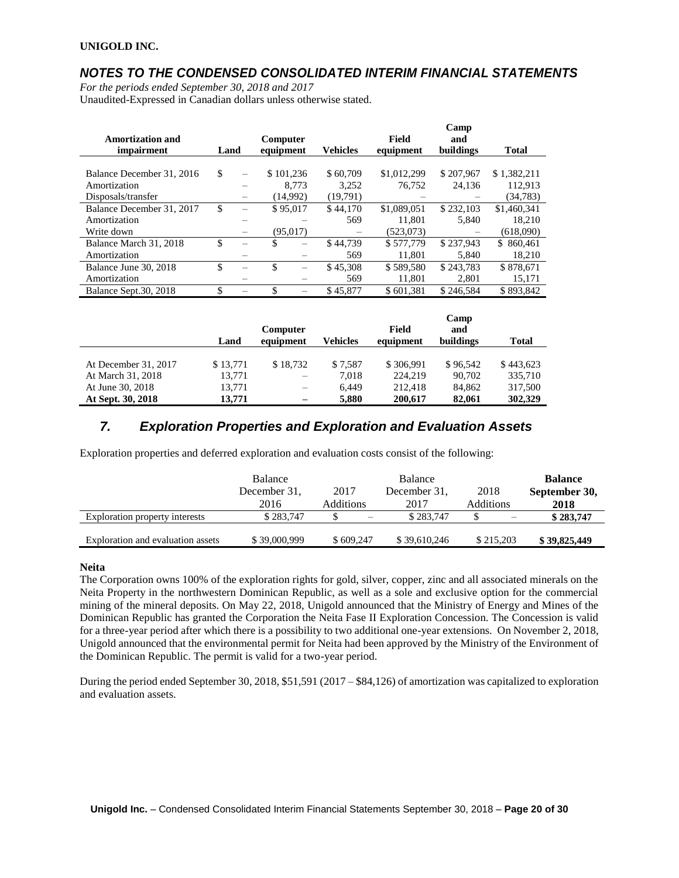## *NOTES TO THE CONDENSED CONSOLIDATED INTERIM FINANCIAL STATEMENTS*

*For the periods ended September 30, 2018 and 2017* Unaudited-Expressed in Canadian dollars unless otherwise stated.

| <b>Amortization and</b><br>impairment     | Land |          | Computer<br>equipment |       | <b>Vehicles</b>   | Field<br>equipment    | Camp<br>and<br>buildings | <b>Total</b>           |
|-------------------------------------------|------|----------|-----------------------|-------|-------------------|-----------------------|--------------------------|------------------------|
|                                           | \$   |          |                       |       |                   |                       | \$207,967                |                        |
| Balance December 31, 2016<br>Amortization |      | $\equiv$ | \$101,236             | 8.773 | \$60,709<br>3,252 | \$1,012,299<br>76.752 | 24.136                   | \$1,382,211<br>112.913 |
| Disposals/transfer                        |      |          | (14,992)              |       | (19,791)          |                       |                          | (34,783)               |
| Balance December 31, 2017                 | \$   |          | \$95,017              |       | \$44,170          | \$1,089,051           | \$232,103                | \$1,460,341            |
| Amortization                              |      |          |                       |       | 569               | 11.801                | 5,840                    | 18.210                 |
| Write down                                |      |          | (95,017)              |       |                   | (523,073)             |                          | (618,090)              |
| Balance March 31, 2018                    | \$.  |          | \$                    |       | \$44,739          | \$577,779             | \$237.943                | \$860,461              |
| Amortization                              |      |          |                       |       | 569               | 11.801                | 5.840                    | 18.210                 |
| Balance June 30, 2018                     | \$   |          | \$                    |       | \$45,308          | \$589,580             | \$243.783                | \$878,671              |
| Amortization                              |      |          |                       |       | 569               | 11.801                | 2.801                    | 15,171                 |
| Balance Sept. 30, 2018                    | \$.  |          | \$                    |       | \$45,877          | \$601.381             | \$246,584                | \$893,842              |

|                      | Land     | Computer<br>equipment | <b>Vehicles</b> | Field<br>equipment | Camp<br>and<br>buildings | <b>Total</b> |
|----------------------|----------|-----------------------|-----------------|--------------------|--------------------------|--------------|
|                      |          |                       |                 |                    |                          |              |
| At December 31, 2017 | \$13,771 | \$18.732              | \$7.587         | \$306,991          | \$96,542                 | \$443,623    |
| At March 31, 2018    | 13,771   |                       | 7.018           | 224,219            | 90.702                   | 335,710      |
| At June 30, 2018     | 13,771   |                       | 6.449           | 212.418            | 84,862                   | 317,500      |
| At Sept. 30, 2018    | 13,771   |                       | 5.880           | 200,617            | 82.061                   | 302,329      |

## *7. Exploration Properties and Exploration and Evaluation Assets*

Exploration properties and deferred exploration and evaluation costs consist of the following:

|                                   | <b>Balance</b><br>December 31. | 2017             | <b>Balance</b><br>December 31, | 2018             | <b>Balance</b><br>September 30, |
|-----------------------------------|--------------------------------|------------------|--------------------------------|------------------|---------------------------------|
|                                   | 2016                           | <b>Additions</b> | 2017                           | <b>Additions</b> | 2018                            |
| Exploration property interests    | \$283,747                      |                  | \$283,747                      |                  | \$283,747                       |
| Exploration and evaluation assets | \$39,000,999                   | \$609,247        | \$39,610,246                   | \$215,203        | \$39,825,449                    |

#### **Neita**

The Corporation owns 100% of the exploration rights for gold, silver, copper, zinc and all associated minerals on the Neita Property in the northwestern Dominican Republic, as well as a sole and exclusive option for the commercial mining of the mineral deposits. On May 22, 2018, Unigold announced that the Ministry of Energy and Mines of the Dominican Republic has granted the Corporation the Neita Fase II Exploration Concession. The Concession is valid for a three-year period after which there is a possibility to two additional one-year extensions. On November 2, 2018, Unigold announced that the environmental permit for Neita had been approved by the Ministry of the Environment of the Dominican Republic. The permit is valid for a two-year period.

During the period ended September 30, 2018, \$51,591 (2017 – \$84,126) of amortization was capitalized to exploration and evaluation assets.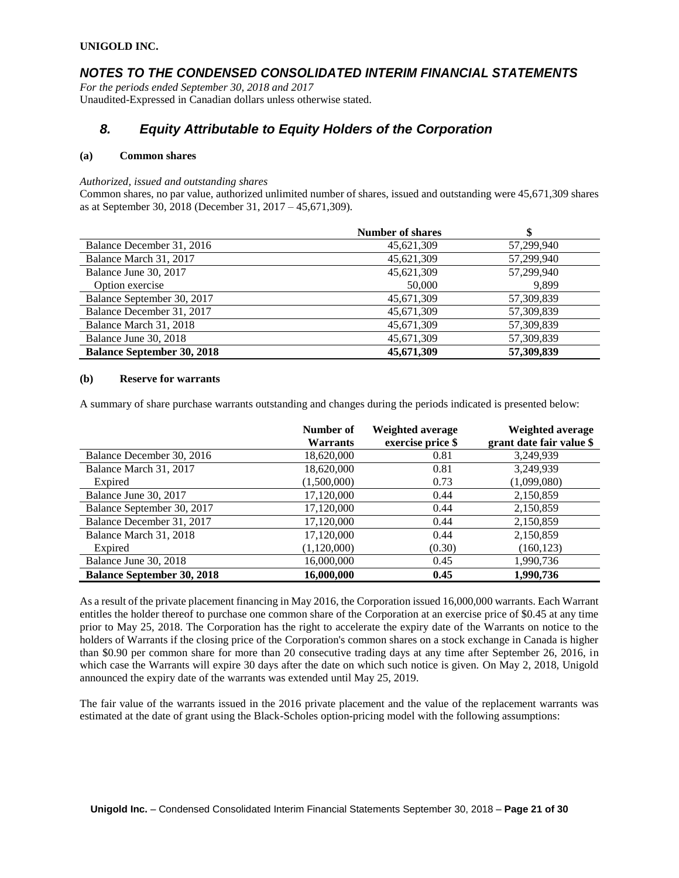### *NOTES TO THE CONDENSED CONSOLIDATED INTERIM FINANCIAL STATEMENTS*

*For the periods ended September 30, 2018 and 2017* Unaudited-Expressed in Canadian dollars unless otherwise stated.

### *8. Equity Attributable to Equity Holders of the Corporation*

#### **(a) Common shares**

*Authorized, issued and outstanding shares*

Common shares, no par value, authorized unlimited number of shares, issued and outstanding were 45,671,309 shares as at September 30, 2018 (December 31, 2017 – 45,671,309).

|                                   | <b>Number of shares</b> | \$         |
|-----------------------------------|-------------------------|------------|
| Balance December 31, 2016         | 45,621,309              | 57,299,940 |
| Balance March 31, 2017            | 45,621,309              | 57,299,940 |
| Balance June 30, 2017             | 45,621,309              | 57,299,940 |
| Option exercise                   | 50,000                  | 9.899      |
| Balance September 30, 2017        | 45,671,309              | 57,309,839 |
| Balance December 31, 2017         | 45,671,309              | 57,309,839 |
| Balance March 31, 2018            | 45,671,309              | 57,309,839 |
| Balance June 30, 2018             | 45,671,309              | 57,309,839 |
| <b>Balance September 30, 2018</b> | 45,671,309              | 57,309,839 |

#### **(b) Reserve for warrants**

A summary of share purchase warrants outstanding and changes during the periods indicated is presented below:

|                                   | Number of<br><b>Warrants</b> | <b>Weighted average</b><br>exercise price \$ | Weighted average<br>grant date fair value \$ |
|-----------------------------------|------------------------------|----------------------------------------------|----------------------------------------------|
| Balance December 30, 2016         | 18,620,000                   | 0.81                                         | 3,249,939                                    |
| Balance March 31, 2017            | 18,620,000                   | 0.81                                         | 3,249,939                                    |
| Expired                           | (1,500,000)                  | 0.73                                         | (1,099,080)                                  |
| Balance June 30, 2017             | 17,120,000                   | 0.44                                         | 2,150,859                                    |
| Balance September 30, 2017        | 17,120,000                   | 0.44                                         | 2,150,859                                    |
| Balance December 31, 2017         | 17,120,000                   | 0.44                                         | 2,150,859                                    |
| Balance March 31, 2018            | 17,120,000                   | 0.44                                         | 2,150,859                                    |
| Expired                           | (1,120,000)                  | (0.30)                                       | (160, 123)                                   |
| Balance June 30, 2018             | 16,000,000                   | 0.45                                         | 1,990,736                                    |
| <b>Balance September 30, 2018</b> | 16,000,000                   | 0.45                                         | 1,990,736                                    |

As a result of the private placement financing in May 2016, the Corporation issued 16,000,000 warrants. Each Warrant entitles the holder thereof to purchase one common share of the Corporation at an exercise price of \$0.45 at any time prior to May 25, 2018. The Corporation has the right to accelerate the expiry date of the Warrants on notice to the holders of Warrants if the closing price of the Corporation's common shares on a stock exchange in Canada is higher than \$0.90 per common share for more than 20 consecutive trading days at any time after September 26, 2016, in which case the Warrants will expire 30 days after the date on which such notice is given. On May 2, 2018, Unigold announced the expiry date of the warrants was extended until May 25, 2019.

The fair value of the warrants issued in the 2016 private placement and the value of the replacement warrants was estimated at the date of grant using the Black-Scholes option-pricing model with the following assumptions: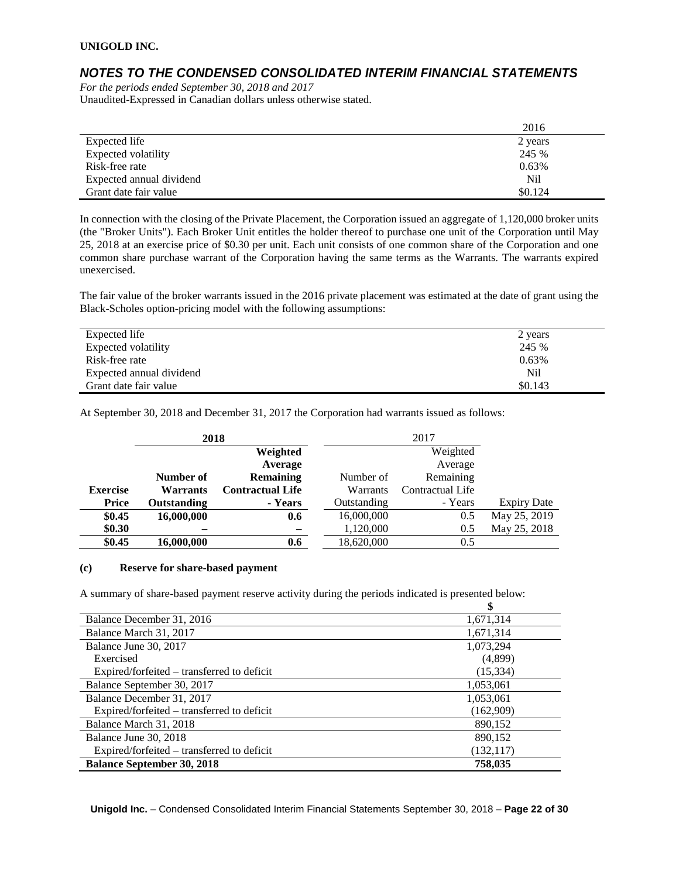## *NOTES TO THE CONDENSED CONSOLIDATED INTERIM FINANCIAL STATEMENTS*

*For the periods ended September 30, 2018 and 2017* Unaudited-Expressed in Canadian dollars unless otherwise stated.

|                          | 2016    |
|--------------------------|---------|
| Expected life            | 2 years |
| Expected volatility      | 245 %   |
| Risk-free rate           | 0.63%   |
| Expected annual dividend | Nil     |
| Grant date fair value    | \$0.124 |

In connection with the closing of the Private Placement, the Corporation issued an aggregate of 1,120,000 broker units (the "Broker Units"). Each Broker Unit entitles the holder thereof to purchase one unit of the Corporation until May 25, 2018 at an exercise price of \$0.30 per unit. Each unit consists of one common share of the Corporation and one common share purchase warrant of the Corporation having the same terms as the Warrants. The warrants expired unexercised.

The fair value of the broker warrants issued in the 2016 private placement was estimated at the date of grant using the Black-Scholes option-pricing model with the following assumptions:

| Expected life            | 2 years |
|--------------------------|---------|
| Expected volatility      | 245 %   |
| Risk-free rate           | 0.63%   |
| Expected annual dividend | Nil     |
| Grant date fair value    | \$0.143 |

At September 30, 2018 and December 31, 2017 the Corporation had warrants issued as follows:

|                 | 2018            |                         |             | 2017                    |                    |  |
|-----------------|-----------------|-------------------------|-------------|-------------------------|--------------------|--|
|                 |                 | Weighted                |             | Weighted                |                    |  |
|                 |                 | Average                 |             | Average                 |                    |  |
|                 | Number of       | <b>Remaining</b>        | Number of   | Remaining               |                    |  |
| <b>Exercise</b> | <b>Warrants</b> | <b>Contractual Life</b> | Warrants    | <b>Contractual Life</b> |                    |  |
| <b>Price</b>    | Outstanding     | - Years                 | Outstanding | - Years                 | <b>Expiry Date</b> |  |
| \$0.45          | 16,000,000      | 0.6                     | 16,000,000  | 0.5                     | May 25, 2019       |  |
| \$0.30          |                 |                         | 1,120,000   | 0.5                     | May 25, 2018       |  |
| \$0.45          | 16,000,000      | 0.6                     | 18,620,000  | 0.5                     |                    |  |

#### **(c) Reserve for share-based payment**

A summary of share-based payment reserve activity during the periods indicated is presented below:

| \$         |
|------------|
| 1,671,314  |
| 1,671,314  |
| 1,073,294  |
| (4,899)    |
| (15, 334)  |
| 1,053,061  |
| 1,053,061  |
| (162,909)  |
| 890,152    |
| 890,152    |
| (132, 117) |
| 758,035    |
|            |

**Unigold Inc.** – Condensed Consolidated Interim Financial Statements September 30, 2018 – **Page 22 of 30**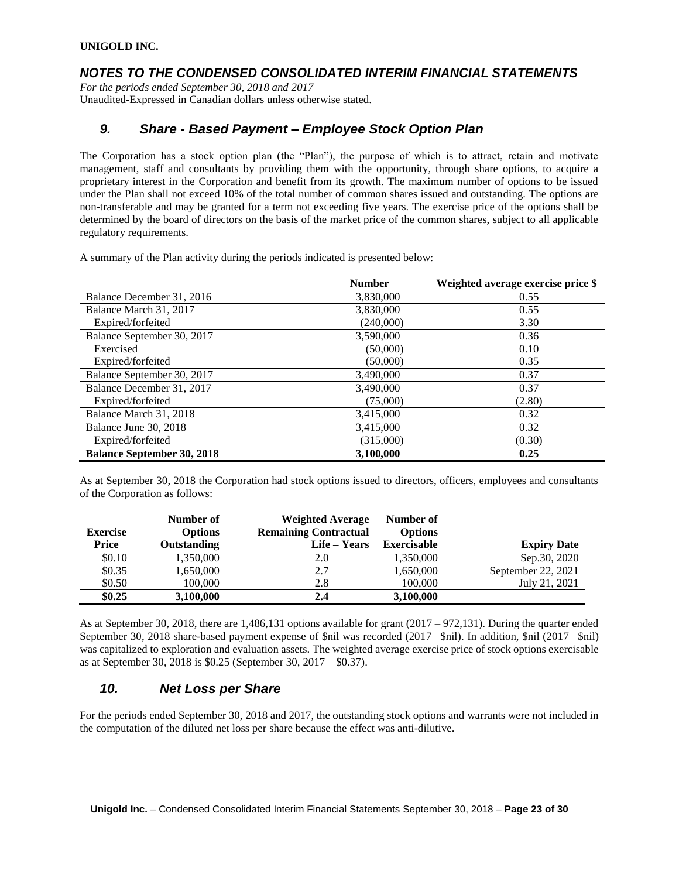## *NOTES TO THE CONDENSED CONSOLIDATED INTERIM FINANCIAL STATEMENTS*

*For the periods ended September 30, 2018 and 2017* Unaudited-Expressed in Canadian dollars unless otherwise stated.

## *9. Share - Based Payment – Employee Stock Option Plan*

The Corporation has a stock option plan (the "Plan"), the purpose of which is to attract, retain and motivate management, staff and consultants by providing them with the opportunity, through share options, to acquire a proprietary interest in the Corporation and benefit from its growth. The maximum number of options to be issued under the Plan shall not exceed 10% of the total number of common shares issued and outstanding. The options are non-transferable and may be granted for a term not exceeding five years. The exercise price of the options shall be determined by the board of directors on the basis of the market price of the common shares, subject to all applicable regulatory requirements.

A summary of the Plan activity during the periods indicated is presented below:

|                                   | <b>Number</b> | Weighted average exercise price \$ |
|-----------------------------------|---------------|------------------------------------|
| Balance December 31, 2016         | 3,830,000     | 0.55                               |
| Balance March 31, 2017            | 3,830,000     | 0.55                               |
| Expired/forfeited                 | (240,000)     | 3.30                               |
| Balance September 30, 2017        | 3,590,000     | 0.36                               |
| Exercised                         | (50,000)      | 0.10                               |
| Expired/forfeited                 | (50,000)      | 0.35                               |
| Balance September 30, 2017        | 3,490,000     | 0.37                               |
| Balance December 31, 2017         | 3,490,000     | 0.37                               |
| Expired/forfeited                 | (75,000)      | (2.80)                             |
| Balance March 31, 2018            | 3,415,000     | 0.32                               |
| Balance June 30, 2018             | 3,415,000     | 0.32                               |
| Expired/forfeited                 | (315,000)     | (0.30)                             |
| <b>Balance September 30, 2018</b> | 3,100,000     | 0.25                               |

As at September 30, 2018 the Corporation had stock options issued to directors, officers, employees and consultants of the Corporation as follows:

| <b>Exercise</b> | Number of<br><b>Options</b> | Weighted Average<br><b>Remaining Contractual</b> | Number of<br><b>Options</b> |                    |
|-----------------|-----------------------------|--------------------------------------------------|-----------------------------|--------------------|
| <b>Price</b>    | Outstanding                 | Life – Years                                     | <b>Exercisable</b>          | <b>Expiry Date</b> |
| \$0.10          | 1,350,000                   | 2.0                                              | 1,350,000                   | Sep. 30, 2020      |
| \$0.35          | 1,650,000                   | 2.7                                              | 1,650,000                   | September 22, 2021 |
| \$0.50          | 100,000                     | 2.8                                              | 100,000                     | July 21, 2021      |
| \$0.25          | 3,100,000                   | 2.4                                              | 3,100,000                   |                    |

As at September 30, 2018, there are 1,486,131 options available for grant (2017 – 972,131). During the quarter ended September 30, 2018 share-based payment expense of \$nil was recorded (2017– \$nil). In addition, \$nil (2017– \$nil) was capitalized to exploration and evaluation assets. The weighted average exercise price of stock options exercisable as at September 30, 2018 is \$0.25 (September 30, 2017 – \$0.37).

## *10. Net Loss per Share*

For the periods ended September 30, 2018 and 2017, the outstanding stock options and warrants were not included in the computation of the diluted net loss per share because the effect was anti-dilutive.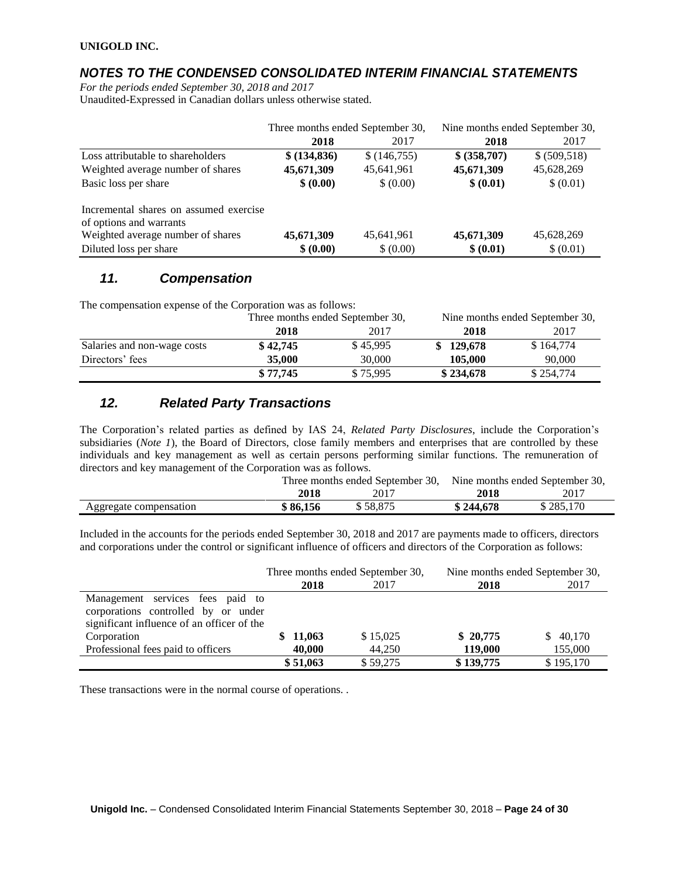## *NOTES TO THE CONDENSED CONSOLIDATED INTERIM FINANCIAL STATEMENTS*

*For the periods ended September 30, 2018 and 2017* Unaudited-Expressed in Canadian dollars unless otherwise stated.

|                                        | Three months ended September 30, |             | Nine months ended September 30, |               |
|----------------------------------------|----------------------------------|-------------|---------------------------------|---------------|
|                                        | 2018                             | 2017        | 2018                            | 2017          |
| Loss attributable to shareholders      | \$ (134,836)                     | \$(146,755) | \$ (358,707)                    | \$ (509, 518) |
| Weighted average number of shares      | 45,671,309                       | 45,641,961  | 45,671,309                      | 45,628,269    |
| Basic loss per share                   | \$ (0.00)                        | \$ (0.00)   | \$ (0.01)                       | \$ (0.01)     |
| Incremental shares on assumed exercise |                                  |             |                                 |               |
| of options and warrants                |                                  |             |                                 |               |
| Weighted average number of shares      | 45,671,309                       | 45,641,961  | 45,671,309                      | 45,628,269    |
| Diluted loss per share                 | \$ (0.00)                        | \$ (0.00)   | \$ (0.01)                       | \$ (0.01)     |

### *11. Compensation*

The compensation expense of the Corporation was as follows:

|                             | Three months ended September 30, |          | Nine months ended September 30, |           |
|-----------------------------|----------------------------------|----------|---------------------------------|-----------|
|                             | 2018                             | 2017     | 2018                            | 2017      |
| Salaries and non-wage costs | \$42,745                         | \$45.995 | \$129,678                       | \$164,774 |
| Directors' fees             | 35,000                           | 30,000   | 105,000                         | 90,000    |
|                             | \$77,745                         | \$75,995 | \$234,678                       | \$254,774 |

## *12. Related Party Transactions*

The Corporation's related parties as defined by IAS 24, *Related Party Disclosures*, include the Corporation's subsidiaries (*Note 1*), the Board of Directors, close family members and enterprises that are controlled by these individuals and key management as well as certain persons performing similar functions. The remuneration of directors and key management of the Corporation was as follows.

|                        | Three months ended September 30, Nine months ended September 30, |          |           |           |
|------------------------|------------------------------------------------------------------|----------|-----------|-----------|
|                        | 2018                                                             | 2017     | 2018      | 2017      |
| Aggregate compensation | \$86,156                                                         | \$58.875 | \$244,678 | \$285,170 |

Included in the accounts for the periods ended September 30, 2018 and 2017 are payments made to officers, directors and corporations under the control or significant influence of officers and directors of the Corporation as follows:

|                                                                                                                       | Three months ended September 30, |          | Nine months ended September 30, |           |
|-----------------------------------------------------------------------------------------------------------------------|----------------------------------|----------|---------------------------------|-----------|
|                                                                                                                       | 2018                             | 2017     | 2018                            | 2017      |
| Management services fees paid to<br>corporations controlled by or under<br>significant influence of an officer of the |                                  |          |                                 |           |
| Corporation                                                                                                           | \$11,063                         | \$15,025 | \$20,775                        | \$40,170  |
| Professional fees paid to officers                                                                                    | 40,000                           | 44,250   | 119,000                         | 155,000   |
|                                                                                                                       | \$51,063                         | \$59,275 | \$139,775                       | \$195,170 |

These transactions were in the normal course of operations. .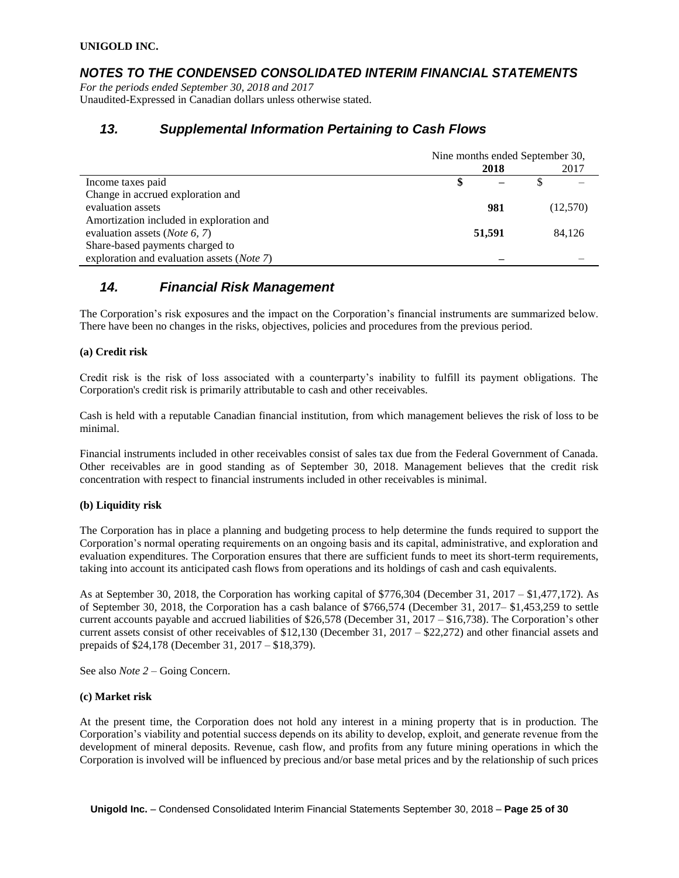### *NOTES TO THE CONDENSED CONSOLIDATED INTERIM FINANCIAL STATEMENTS*

*For the periods ended September 30, 2018 and 2017* Unaudited-Expressed in Canadian dollars unless otherwise stated.

### *13. Supplemental Information Pertaining to Cash Flows*

|                                                     | Nine months ended September 30, |        |          |  |
|-----------------------------------------------------|---------------------------------|--------|----------|--|
|                                                     |                                 | 2018   | 2017     |  |
| Income taxes paid                                   | \$                              |        |          |  |
| Change in accrued exploration and                   |                                 |        |          |  |
| evaluation assets                                   |                                 | 981    | (12,570) |  |
| Amortization included in exploration and            |                                 |        |          |  |
| evaluation assets ( <i>Note</i> 6, 7)               |                                 | 51,591 | 84.126   |  |
| Share-based payments charged to                     |                                 |        |          |  |
| exploration and evaluation assets ( <i>Note 7</i> ) |                                 |        |          |  |

### *14. Financial Risk Management*

The Corporation's risk exposures and the impact on the Corporation's financial instruments are summarized below. There have been no changes in the risks, objectives, policies and procedures from the previous period.

#### **(a) Credit risk**

Credit risk is the risk of loss associated with a counterparty's inability to fulfill its payment obligations. The Corporation's credit risk is primarily attributable to cash and other receivables.

Cash is held with a reputable Canadian financial institution, from which management believes the risk of loss to be minimal.

Financial instruments included in other receivables consist of sales tax due from the Federal Government of Canada. Other receivables are in good standing as of September 30, 2018. Management believes that the credit risk concentration with respect to financial instruments included in other receivables is minimal.

#### **(b) Liquidity risk**

The Corporation has in place a planning and budgeting process to help determine the funds required to support the Corporation's normal operating requirements on an ongoing basis and its capital, administrative, and exploration and evaluation expenditures. The Corporation ensures that there are sufficient funds to meet its short-term requirements, taking into account its anticipated cash flows from operations and its holdings of cash and cash equivalents.

As at September 30, 2018, the Corporation has working capital of \$776,304 (December 31, 2017 – \$1,477,172). As of September 30, 2018, the Corporation has a cash balance of \$766,574 (December 31, 2017– \$1,453,259 to settle current accounts payable and accrued liabilities of \$26,578 (December 31, 2017 – \$16,738). The Corporation's other current assets consist of other receivables of \$12,130 (December 31, 2017 – \$22,272) and other financial assets and prepaids of \$24,178 (December 31, 2017 – \$18,379).

See also *Note 2* – Going Concern.

#### **(c) Market risk**

At the present time, the Corporation does not hold any interest in a mining property that is in production. The Corporation's viability and potential success depends on its ability to develop, exploit, and generate revenue from the development of mineral deposits. Revenue, cash flow, and profits from any future mining operations in which the Corporation is involved will be influenced by precious and/or base metal prices and by the relationship of such prices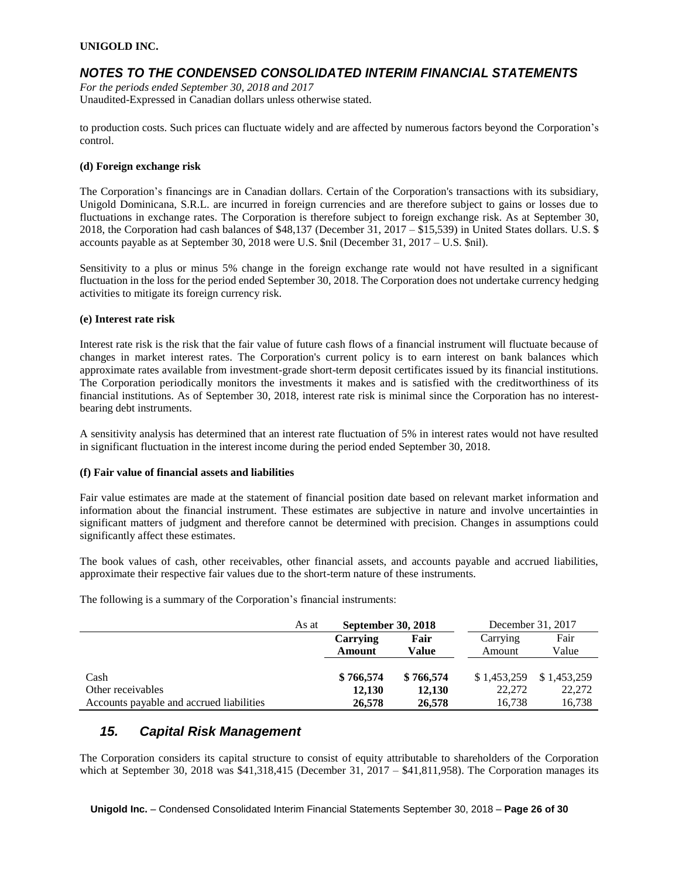### *NOTES TO THE CONDENSED CONSOLIDATED INTERIM FINANCIAL STATEMENTS*

*For the periods ended September 30, 2018 and 2017* Unaudited-Expressed in Canadian dollars unless otherwise stated.

to production costs. Such prices can fluctuate widely and are affected by numerous factors beyond the Corporation's control.

#### **(d) Foreign exchange risk**

The Corporation's financings are in Canadian dollars. Certain of the Corporation's transactions with its subsidiary, Unigold Dominicana, S.R.L. are incurred in foreign currencies and are therefore subject to gains or losses due to fluctuations in exchange rates. The Corporation is therefore subject to foreign exchange risk. As at September 30, 2018, the Corporation had cash balances of \$48,137 (December 31, 2017 – \$15,539) in United States dollars. U.S. \$ accounts payable as at September 30, 2018 were U.S. \$nil (December 31, 2017 – U.S. \$nil).

Sensitivity to a plus or minus 5% change in the foreign exchange rate would not have resulted in a significant fluctuation in the loss for the period ended September 30, 2018. The Corporation does not undertake currency hedging activities to mitigate its foreign currency risk.

#### **(e) Interest rate risk**

Interest rate risk is the risk that the fair value of future cash flows of a financial instrument will fluctuate because of changes in market interest rates. The Corporation's current policy is to earn interest on bank balances which approximate rates available from investment-grade short-term deposit certificates issued by its financial institutions. The Corporation periodically monitors the investments it makes and is satisfied with the creditworthiness of its financial institutions. As of September 30, 2018, interest rate risk is minimal since the Corporation has no interestbearing debt instruments.

A sensitivity analysis has determined that an interest rate fluctuation of 5% in interest rates would not have resulted in significant fluctuation in the interest income during the period ended September 30, 2018.

#### **(f) Fair value of financial assets and liabilities**

Fair value estimates are made at the statement of financial position date based on relevant market information and information about the financial instrument. These estimates are subjective in nature and involve uncertainties in significant matters of judgment and therefore cannot be determined with precision. Changes in assumptions could significantly affect these estimates.

The book values of cash, other receivables, other financial assets, and accounts payable and accrued liabilities, approximate their respective fair values due to the short-term nature of these instruments.

The following is a summary of the Corporation's financial instruments:

| As at                                    | <b>September 30, 2018</b> |           |             | December 31, 2017 |
|------------------------------------------|---------------------------|-----------|-------------|-------------------|
|                                          | Carrying                  | Fair      | Carrying    | Fair              |
|                                          | Amount                    | Value     | Amount      | Value             |
|                                          |                           |           |             |                   |
| Cash                                     | \$766,574                 | \$766,574 | \$1,453,259 | \$1,453,259       |
| Other receivables                        | 12,130                    | 12,130    | 22,272      | 22,272            |
| Accounts payable and accrued liabilities | 26,578                    | 26,578    | 16,738      | 16,738            |

### *15. Capital Risk Management*

The Corporation considers its capital structure to consist of equity attributable to shareholders of the Corporation which at September 30, 2018 was  $$41,318,415$  (December 31, 2017 –  $$41,811,958$ ). The Corporation manages its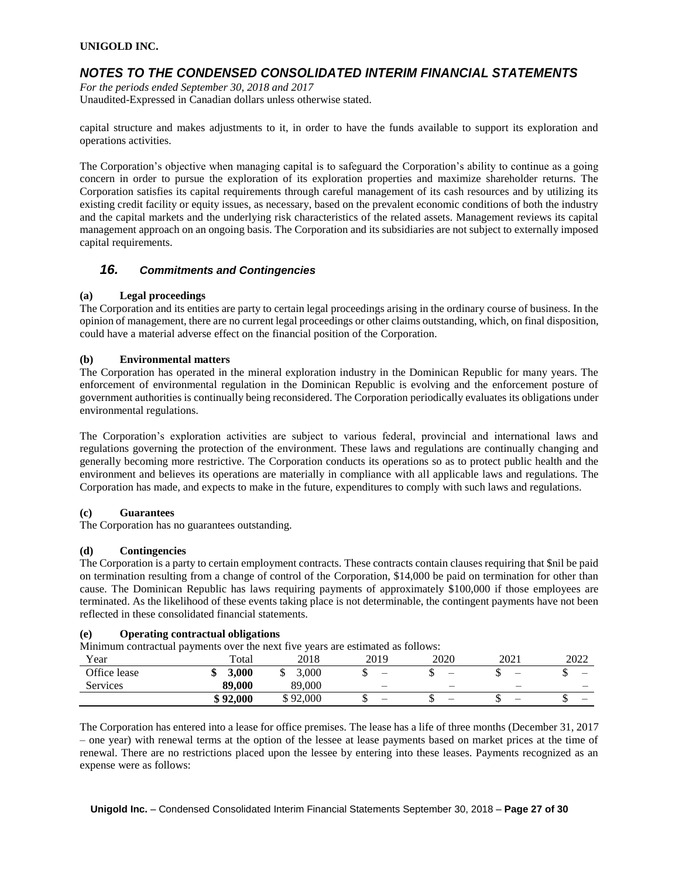## *NOTES TO THE CONDENSED CONSOLIDATED INTERIM FINANCIAL STATEMENTS*

*For the periods ended September 30, 2018 and 2017* Unaudited-Expressed in Canadian dollars unless otherwise stated.

capital structure and makes adjustments to it, in order to have the funds available to support its exploration and operations activities.

The Corporation's objective when managing capital is to safeguard the Corporation's ability to continue as a going concern in order to pursue the exploration of its exploration properties and maximize shareholder returns. The Corporation satisfies its capital requirements through careful management of its cash resources and by utilizing its existing credit facility or equity issues, as necessary, based on the prevalent economic conditions of both the industry and the capital markets and the underlying risk characteristics of the related assets. Management reviews its capital management approach on an ongoing basis. The Corporation and its subsidiaries are not subject to externally imposed capital requirements.

### *16. Commitments and Contingencies*

#### **(a) Legal proceedings**

The Corporation and its entities are party to certain legal proceedings arising in the ordinary course of business. In the opinion of management, there are no current legal proceedings or other claims outstanding, which, on final disposition, could have a material adverse effect on the financial position of the Corporation.

#### **(b) Environmental matters**

The Corporation has operated in the mineral exploration industry in the Dominican Republic for many years. The enforcement of environmental regulation in the Dominican Republic is evolving and the enforcement posture of government authorities is continually being reconsidered. The Corporation periodically evaluates its obligations under environmental regulations.

The Corporation's exploration activities are subject to various federal, provincial and international laws and regulations governing the protection of the environment. These laws and regulations are continually changing and generally becoming more restrictive. The Corporation conducts its operations so as to protect public health and the environment and believes its operations are materially in compliance with all applicable laws and regulations. The Corporation has made, and expects to make in the future, expenditures to comply with such laws and regulations.

#### **(c) Guarantees**

The Corporation has no guarantees outstanding.

#### **(d) Contingencies**

The Corporation is a party to certain employment contracts. These contracts contain clauses requiring that \$nil be paid on termination resulting from a change of control of the Corporation, \$14,000 be paid on termination for other than cause. The Dominican Republic has laws requiring payments of approximately \$100,000 if those employees are terminated. As the likelihood of these events taking place is not determinable, the contingent payments have not been reflected in these consolidated financial statements.

#### **(e) Operating contractual obligations**

Minimum contractual payments over the next five years are estimated as follows:

| Year            | л.<br>Total | 2018                      | 2019                     | 2020 | 2021 | 2022 |
|-----------------|-------------|---------------------------|--------------------------|------|------|------|
| Office lease    | 3.000       | .000                      | $\overline{\phantom{a}}$ | –    | -    |      |
| <b>Services</b> | 89,000      | 89,000                    | $-$                      | —    | –    |      |
|                 | \$92,000    | 92,000<br>$\sqrt{2}$<br>◡ | $\overline{\phantom{a}}$ | –    | -    |      |

The Corporation has entered into a lease for office premises. The lease has a life of three months (December 31, 2017 – one year) with renewal terms at the option of the lessee at lease payments based on market prices at the time of renewal. There are no restrictions placed upon the lessee by entering into these leases. Payments recognized as an expense were as follows: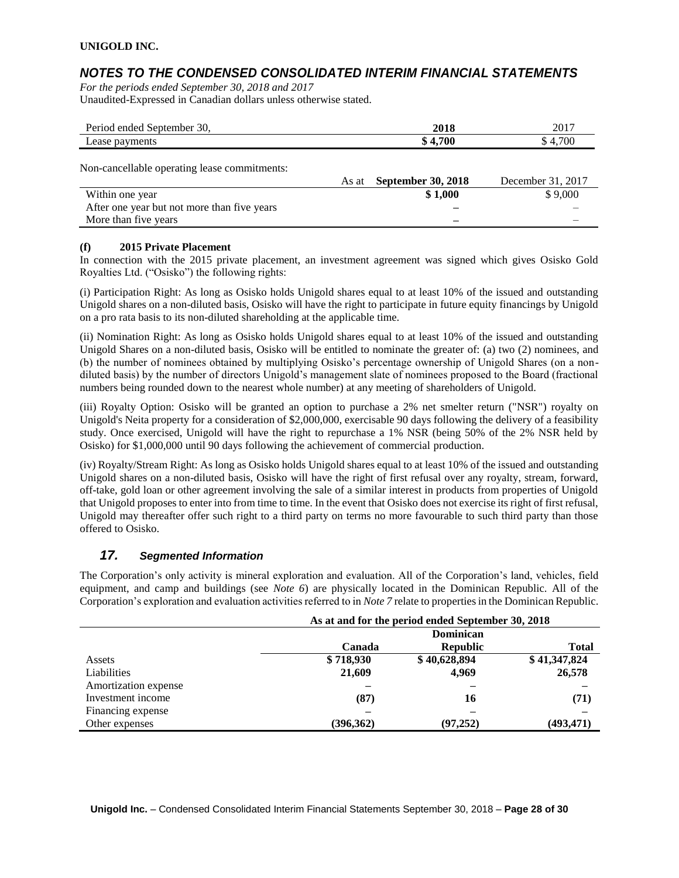## *NOTES TO THE CONDENSED CONSOLIDATED INTERIM FINANCIAL STATEMENTS*

*For the periods ended September 30, 2018 and 2017* Unaudited-Expressed in Canadian dollars unless otherwise stated.

| Period ended September 30,                   |       | 2018                      | 2017              |
|----------------------------------------------|-------|---------------------------|-------------------|
| Lease payments                               |       | \$4,700                   | \$4,700           |
| Non-cancellable operating lease commitments: | As at | <b>September 30, 2018</b> | December 31, 2017 |
| Within one year                              |       | \$1,000                   | \$9,000           |
| After one year but not more than five years  |       |                           |                   |
| More than five years                         |       |                           |                   |

#### **(f) 2015 Private Placement**

In connection with the 2015 private placement, an investment agreement was signed which gives Osisko Gold Royalties Ltd. ("Osisko") the following rights:

(i) Participation Right: As long as Osisko holds Unigold shares equal to at least 10% of the issued and outstanding Unigold shares on a non-diluted basis, Osisko will have the right to participate in future equity financings by Unigold on a pro rata basis to its non-diluted shareholding at the applicable time.

(ii) Nomination Right: As long as Osisko holds Unigold shares equal to at least 10% of the issued and outstanding Unigold Shares on a non-diluted basis, Osisko will be entitled to nominate the greater of: (a) two (2) nominees, and (b) the number of nominees obtained by multiplying Osisko's percentage ownership of Unigold Shares (on a nondiluted basis) by the number of directors Unigold's management slate of nominees proposed to the Board (fractional numbers being rounded down to the nearest whole number) at any meeting of shareholders of Unigold.

(iii) Royalty Option: Osisko will be granted an option to purchase a 2% net smelter return ("NSR") royalty on Unigold's Neita property for a consideration of \$2,000,000, exercisable 90 days following the delivery of a feasibility study. Once exercised, Unigold will have the right to repurchase a 1% NSR (being 50% of the 2% NSR held by Osisko) for \$1,000,000 until 90 days following the achievement of commercial production.

(iv) Royalty/Stream Right: As long as Osisko holds Unigold shares equal to at least 10% of the issued and outstanding Unigold shares on a non-diluted basis, Osisko will have the right of first refusal over any royalty, stream, forward, off-take, gold loan or other agreement involving the sale of a similar interest in products from properties of Unigold that Unigold proposes to enter into from time to time. In the event that Osisko does not exercise its right of first refusal, Unigold may thereafter offer such right to a third party on terms no more favourable to such third party than those offered to Osisko.

### *17. Segmented Information*

The Corporation's only activity is mineral exploration and evaluation. All of the Corporation's land, vehicles, field equipment, and camp and buildings (see *Note 6*) are physically located in the Dominican Republic. All of the Corporation's exploration and evaluation activities referred to in *Note 7* relate to properties in the Dominican Republic.

|                      | As at and for the period ended September 30, 2018 |                 |              |  |  |
|----------------------|---------------------------------------------------|-----------------|--------------|--|--|
|                      | Dominican                                         |                 |              |  |  |
|                      | Canada                                            | <b>Republic</b> | <b>Total</b> |  |  |
| Assets               | \$718,930                                         | \$40,628,894    | \$41,347,824 |  |  |
| Liabilities          | 21,609                                            | 4,969           | 26,578       |  |  |
| Amortization expense |                                                   |                 |              |  |  |
| Investment income    | (87)                                              | 16              | (71)         |  |  |
| Financing expense    |                                                   |                 |              |  |  |
| Other expenses       | (396, 362)                                        | (97, 252)       | (493, 471)   |  |  |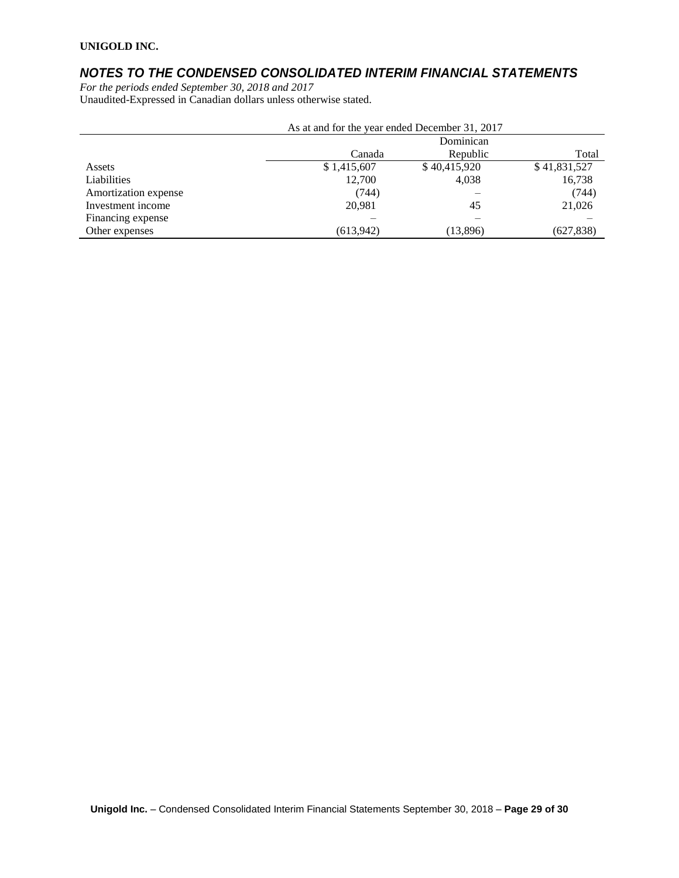# *NOTES TO THE CONDENSED CONSOLIDATED INTERIM FINANCIAL STATEMENTS*

*For the periods ended September 30, 2018 and 2017* Unaudited-Expressed in Canadian dollars unless otherwise stated.

|                      | As at and for the year ended December 31, 2017 |              |              |  |  |  |
|----------------------|------------------------------------------------|--------------|--------------|--|--|--|
|                      | Dominican                                      |              |              |  |  |  |
|                      | Canada                                         | Republic     | Total        |  |  |  |
| Assets               | \$1,415,607                                    | \$40,415,920 | \$41,831,527 |  |  |  |
| Liabilities          | 12,700                                         | 4,038        | 16,738       |  |  |  |
| Amortization expense | (744)                                          |              | (744)        |  |  |  |
| Investment income    | 20.981                                         | 45           | 21,026       |  |  |  |
| Financing expense    |                                                |              |              |  |  |  |
| Other expenses       | (613,942)                                      | (13,896)     | (627,838)    |  |  |  |